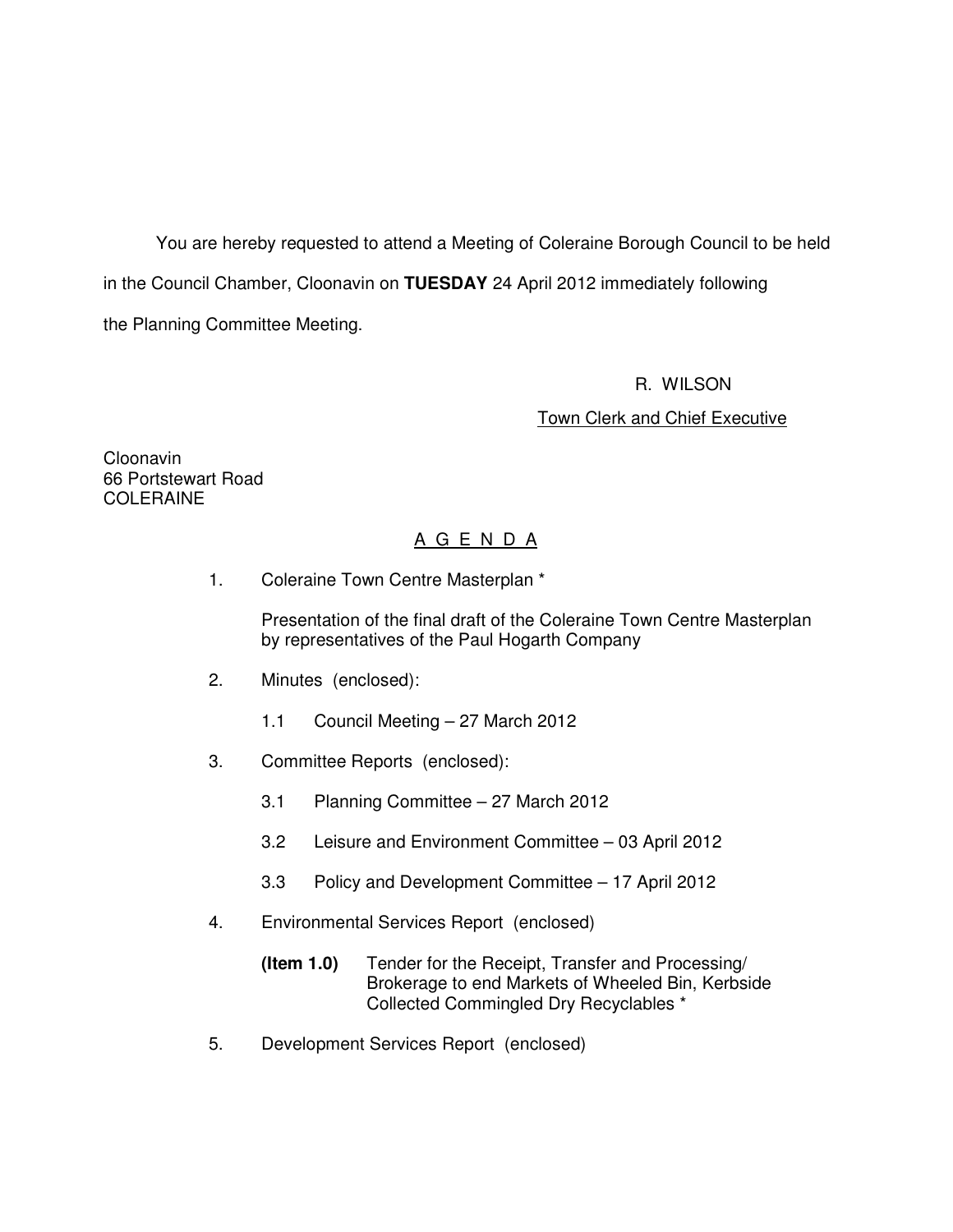You are hereby requested to attend a Meeting of Coleraine Borough Council to be held in the Council Chamber, Cloonavin on **TUESDAY** 24 April 2012 immediately following the Planning Committee Meeting.

R. WILSON

Town Clerk and Chief Executive

Cloonavin 66 Portstewart Road COLERAINE

# A G E N D A

1. Coleraine Town Centre Masterplan \*

 Presentation of the final draft of the Coleraine Town Centre Masterplan by representatives of the Paul Hogarth Company

- 2. Minutes (enclosed):
	- 1.1 Council Meeting 27 March 2012
- 3. Committee Reports (enclosed):
	- 3.1 Planning Committee 27 March 2012
	- 3.2 Leisure and Environment Committee 03 April 2012
	- 3.3 Policy and Development Committee 17 April 2012
- 4. Environmental Services Report (enclosed)
	- **(Item 1.0)** Tender for the Receipt, Transfer and Processing/ Brokerage to end Markets of Wheeled Bin, Kerbside Collected Commingled Dry Recyclables \*
- 5. Development Services Report (enclosed)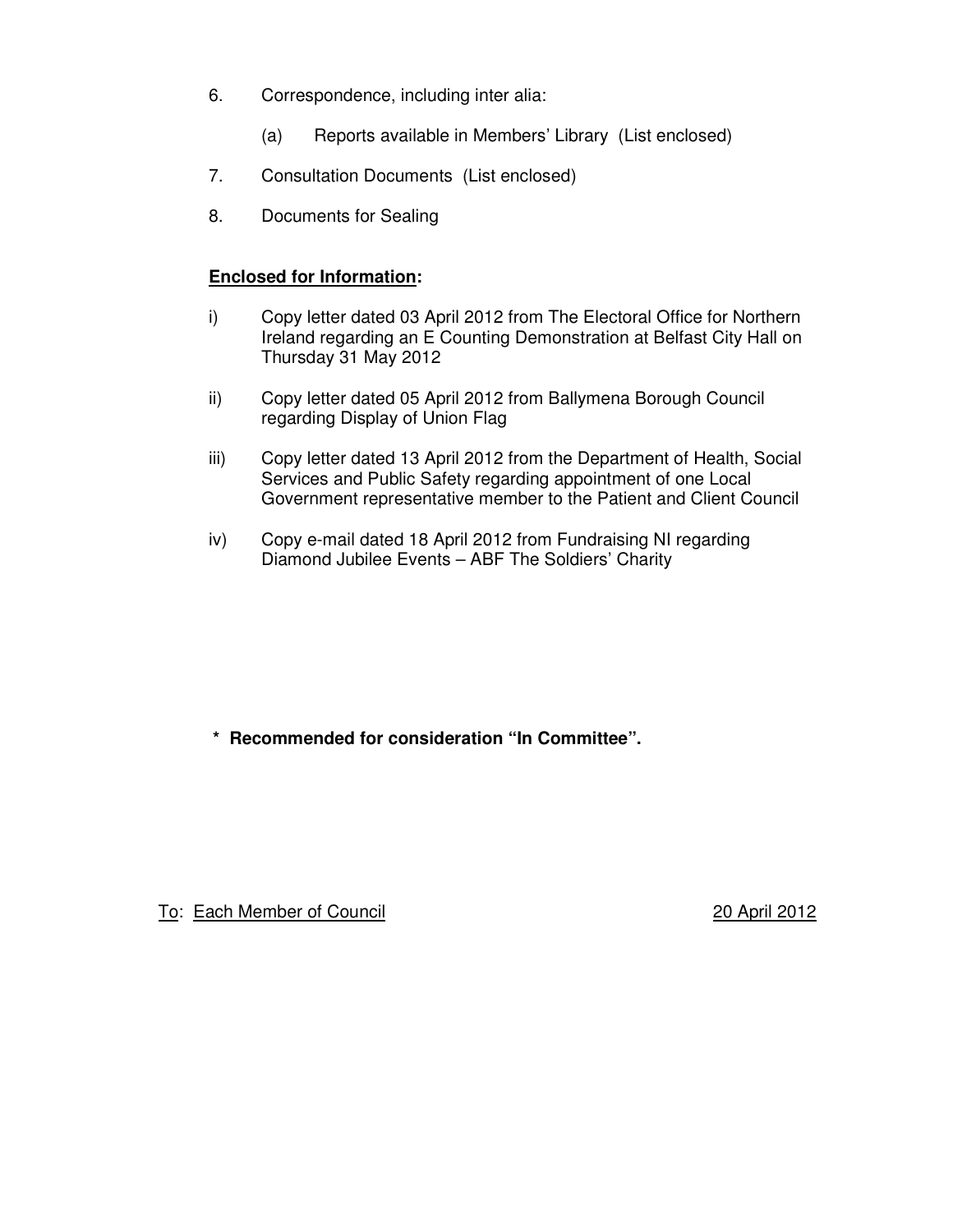- 6. Correspondence, including inter alia:
	- (a) Reports available in Members' Library (List enclosed)
- 7. Consultation Documents (List enclosed)
- 8. Documents for Sealing

# **Enclosed for Information:**

- i) Copy letter dated 03 April 2012 from The Electoral Office for Northern Ireland regarding an E Counting Demonstration at Belfast City Hall on Thursday 31 May 2012
- ii) Copy letter dated 05 April 2012 from Ballymena Borough Council regarding Display of Union Flag
- iii) Copy letter dated 13 April 2012 from the Department of Health, Social Services and Public Safety regarding appointment of one Local Government representative member to the Patient and Client Council
- iv) Copy e-mail dated 18 April 2012 from Fundraising NI regarding Diamond Jubilee Events – ABF The Soldiers' Charity

**\* Recommended for consideration "In Committee".** 

To: Each Member of Council 20 April 2012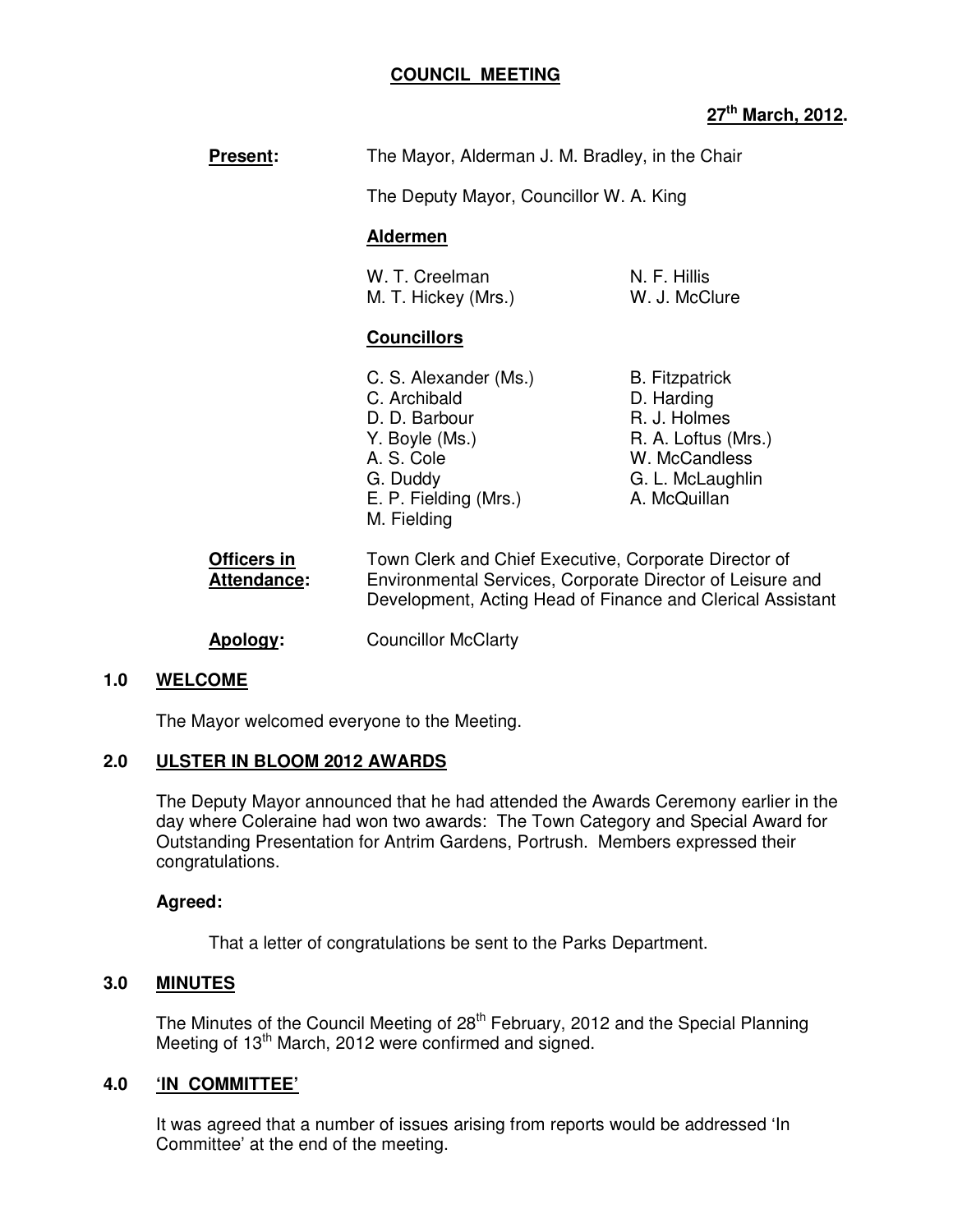# **COUNCIL MEETING**

# **27th March, 2012.**

| <b>Present:</b>                   | The Mayor, Alderman J. M. Bradley, in the Chair                                                                                                                                  |                                                                                                                                 |
|-----------------------------------|----------------------------------------------------------------------------------------------------------------------------------------------------------------------------------|---------------------------------------------------------------------------------------------------------------------------------|
|                                   | The Deputy Mayor, Councillor W. A. King                                                                                                                                          |                                                                                                                                 |
|                                   | <b>Aldermen</b>                                                                                                                                                                  |                                                                                                                                 |
|                                   | W. T. Creelman<br>M. T. Hickey (Mrs.)                                                                                                                                            | N. F. Hillis<br>W. J. McClure                                                                                                   |
|                                   | <b>Councillors</b>                                                                                                                                                               |                                                                                                                                 |
|                                   | C. S. Alexander (Ms.)<br>C. Archibald<br>D. D. Barbour<br>Y. Boyle (Ms.)<br>A. S. Cole<br>G. Duddy<br>E. P. Fielding (Mrs.)<br>M. Fielding                                       | <b>B.</b> Fitzpatrick<br>D. Harding<br>R. J. Holmes<br>R. A. Loftus (Mrs.)<br>W. McCandless<br>G. L. McLaughlin<br>A. McQuillan |
| Officers in<br><b>Attendance:</b> | Town Clerk and Chief Executive, Corporate Director of<br>Environmental Services, Corporate Director of Leisure and<br>Development, Acting Head of Finance and Clerical Assistant |                                                                                                                                 |

**Apology:** Councillor McClarty

## **1.0 WELCOME**

The Mayor welcomed everyone to the Meeting.

#### **2.0 ULSTER IN BLOOM 2012 AWARDS**

The Deputy Mayor announced that he had attended the Awards Ceremony earlier in the day where Coleraine had won two awards: The Town Category and Special Award for Outstanding Presentation for Antrim Gardens, Portrush. Members expressed their congratulations.

#### **Agreed:**

That a letter of congratulations be sent to the Parks Department.

## **3.0 MINUTES**

The Minutes of the Council Meeting of 28<sup>th</sup> February, 2012 and the Special Planning Meeting of 13<sup>th</sup> March, 2012 were confirmed and signed.

## **4.0 'IN COMMITTEE'**

It was agreed that a number of issues arising from reports would be addressed 'In Committee' at the end of the meeting.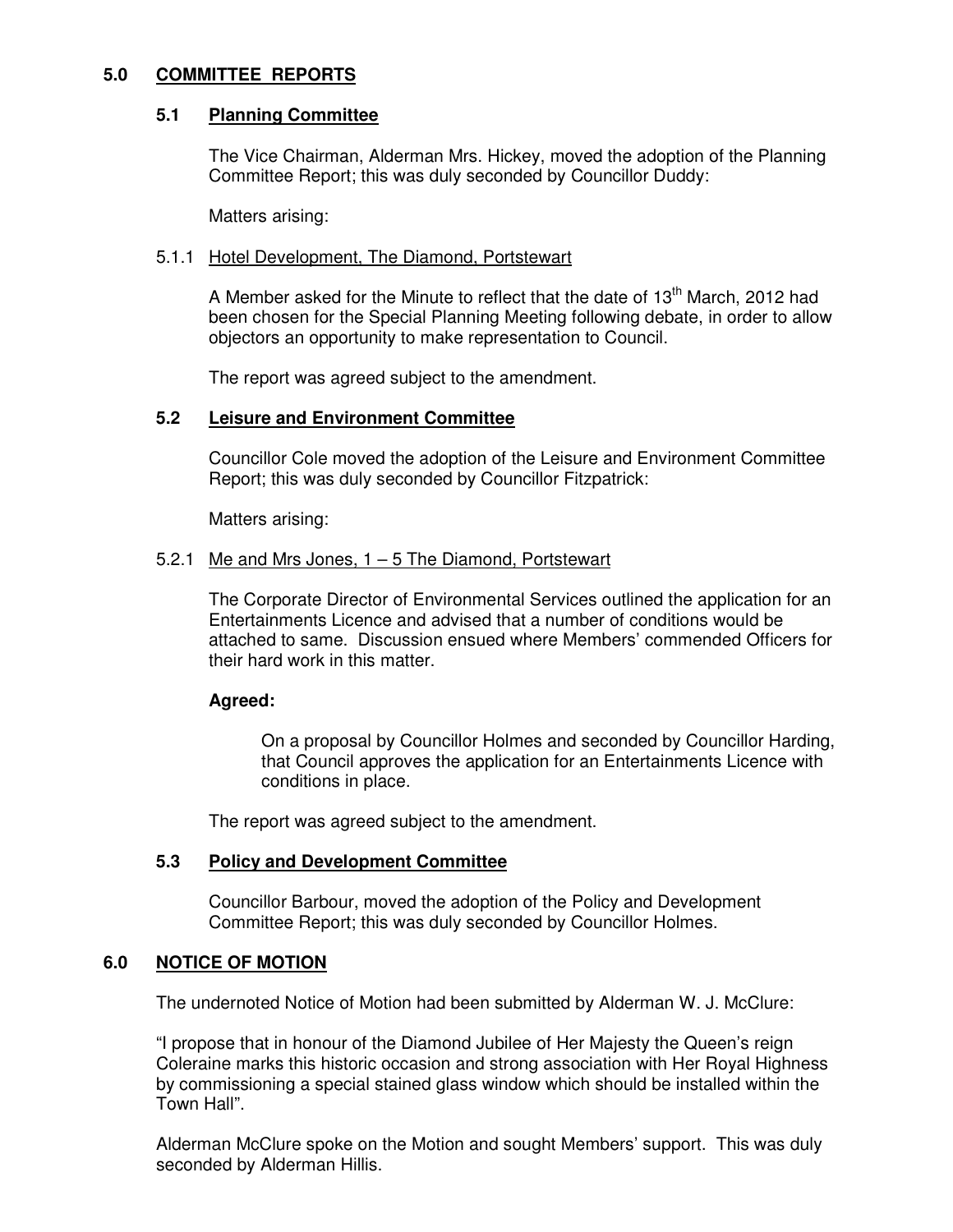## **5.0 COMMITTEE REPORTS**

# **5.1 Planning Committee**

The Vice Chairman, Alderman Mrs. Hickey, moved the adoption of the Planning Committee Report; this was duly seconded by Councillor Duddy:

Matters arising:

## 5.1.1 Hotel Development, The Diamond, Portstewart

A Member asked for the Minute to reflect that the date of  $13<sup>th</sup>$  March, 2012 had been chosen for the Special Planning Meeting following debate, in order to allow objectors an opportunity to make representation to Council.

The report was agreed subject to the amendment.

# **5.2 Leisure and Environment Committee**

Councillor Cole moved the adoption of the Leisure and Environment Committee Report; this was duly seconded by Councillor Fitzpatrick:

Matters arising:

# 5.2.1 Me and Mrs Jones, 1 – 5 The Diamond, Portstewart

The Corporate Director of Environmental Services outlined the application for an Entertainments Licence and advised that a number of conditions would be attached to same. Discussion ensued where Members' commended Officers for their hard work in this matter.

## **Agreed:**

On a proposal by Councillor Holmes and seconded by Councillor Harding, that Council approves the application for an Entertainments Licence with conditions in place.

The report was agreed subject to the amendment.

# **5.3 Policy and Development Committee**

Councillor Barbour, moved the adoption of the Policy and Development Committee Report; this was duly seconded by Councillor Holmes.

# **6.0 NOTICE OF MOTION**

The undernoted Notice of Motion had been submitted by Alderman W. J. McClure:

"I propose that in honour of the Diamond Jubilee of Her Majesty the Queen's reign Coleraine marks this historic occasion and strong association with Her Royal Highness by commissioning a special stained glass window which should be installed within the Town Hall".

Alderman McClure spoke on the Motion and sought Members' support. This was duly seconded by Alderman Hillis.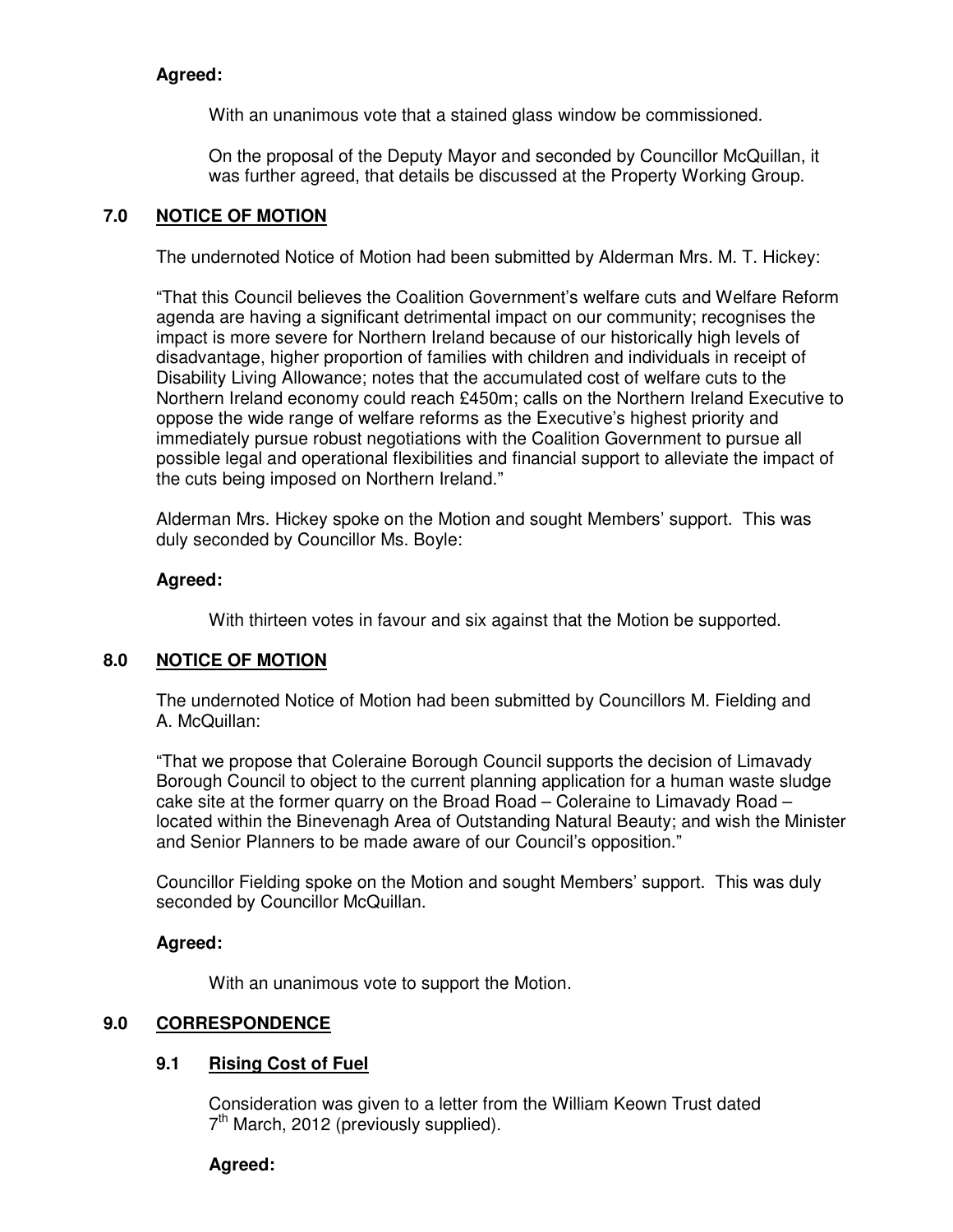# **Agreed:**

With an unanimous vote that a stained glass window be commissioned.

On the proposal of the Deputy Mayor and seconded by Councillor McQuillan, it was further agreed, that details be discussed at the Property Working Group.

# **7.0 NOTICE OF MOTION**

The undernoted Notice of Motion had been submitted by Alderman Mrs. M. T. Hickey:

"That this Council believes the Coalition Government's welfare cuts and Welfare Reform agenda are having a significant detrimental impact on our community; recognises the impact is more severe for Northern Ireland because of our historically high levels of disadvantage, higher proportion of families with children and individuals in receipt of Disability Living Allowance; notes that the accumulated cost of welfare cuts to the Northern Ireland economy could reach £450m; calls on the Northern Ireland Executive to oppose the wide range of welfare reforms as the Executive's highest priority and immediately pursue robust negotiations with the Coalition Government to pursue all possible legal and operational flexibilities and financial support to alleviate the impact of the cuts being imposed on Northern Ireland."

Alderman Mrs. Hickey spoke on the Motion and sought Members' support. This was duly seconded by Councillor Ms. Boyle:

# **Agreed:**

With thirteen votes in favour and six against that the Motion be supported.

# **8.0 NOTICE OF MOTION**

 The undernoted Notice of Motion had been submitted by Councillors M. Fielding and A. McQuillan:

"That we propose that Coleraine Borough Council supports the decision of Limavady Borough Council to object to the current planning application for a human waste sludge cake site at the former quarry on the Broad Road – Coleraine to Limavady Road – located within the Binevenagh Area of Outstanding Natural Beauty; and wish the Minister and Senior Planners to be made aware of our Council's opposition."

Councillor Fielding spoke on the Motion and sought Members' support. This was duly seconded by Councillor McQuillan.

# **Agreed:**

With an unanimous vote to support the Motion.

# **9.0 CORRESPONDENCE**

# **9.1 Rising Cost of Fuel**

Consideration was given to a letter from the William Keown Trust dated 7<sup>th</sup> March, 2012 (previously supplied).

## **Agreed:**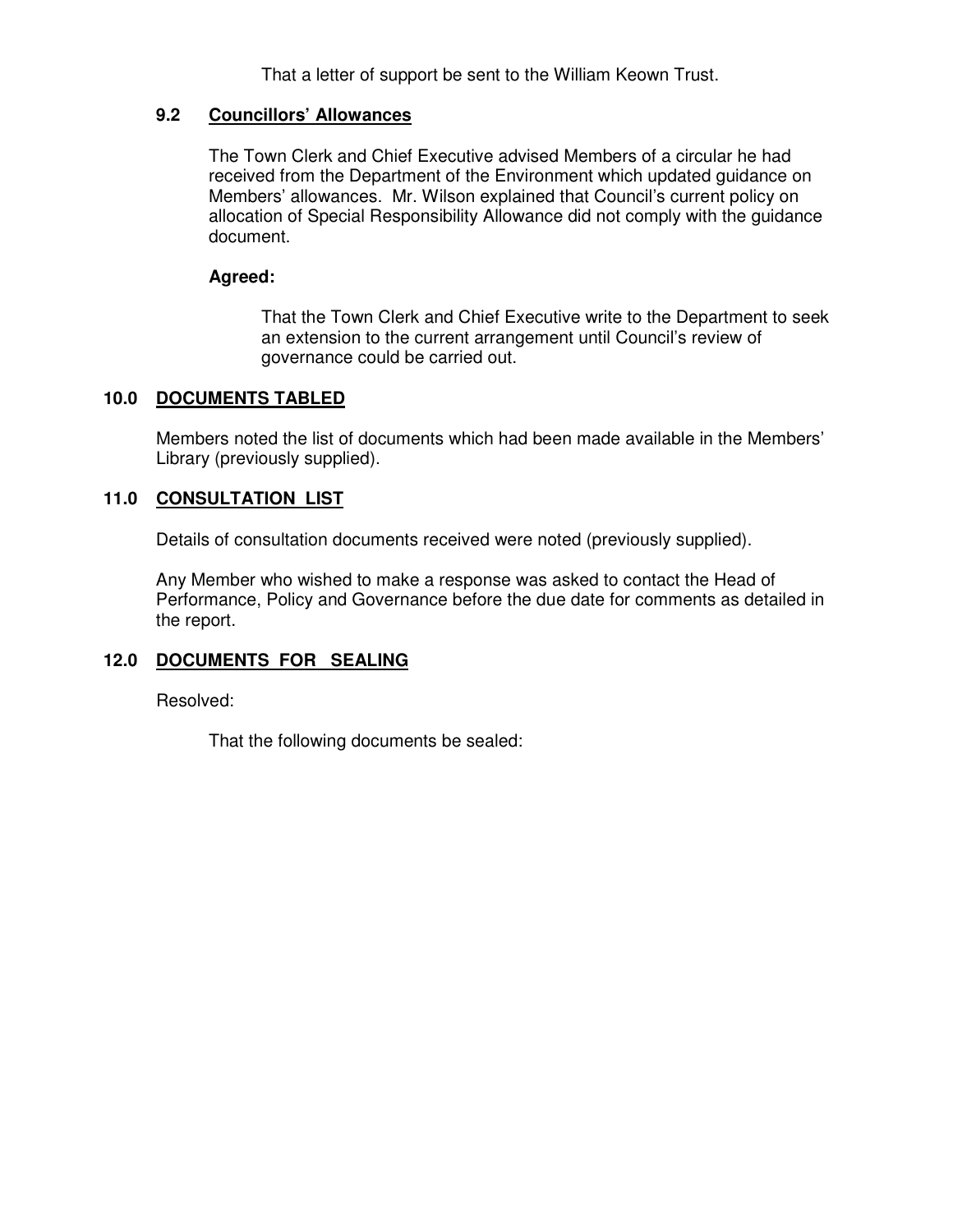That a letter of support be sent to the William Keown Trust.

# **9.2 Councillors' Allowances**

The Town Clerk and Chief Executive advised Members of a circular he had received from the Department of the Environment which updated guidance on Members' allowances. Mr. Wilson explained that Council's current policy on allocation of Special Responsibility Allowance did not comply with the guidance document.

# **Agreed:**

That the Town Clerk and Chief Executive write to the Department to seek an extension to the current arrangement until Council's review of governance could be carried out.

# **10.0 DOCUMENTS TABLED**

 Members noted the list of documents which had been made available in the Members' Library (previously supplied).

# **11.0 CONSULTATION LIST**

Details of consultation documents received were noted (previously supplied).

 Any Member who wished to make a response was asked to contact the Head of Performance, Policy and Governance before the due date for comments as detailed in the report.

# **12.0 DOCUMENTS FOR SEALING**

Resolved:

That the following documents be sealed: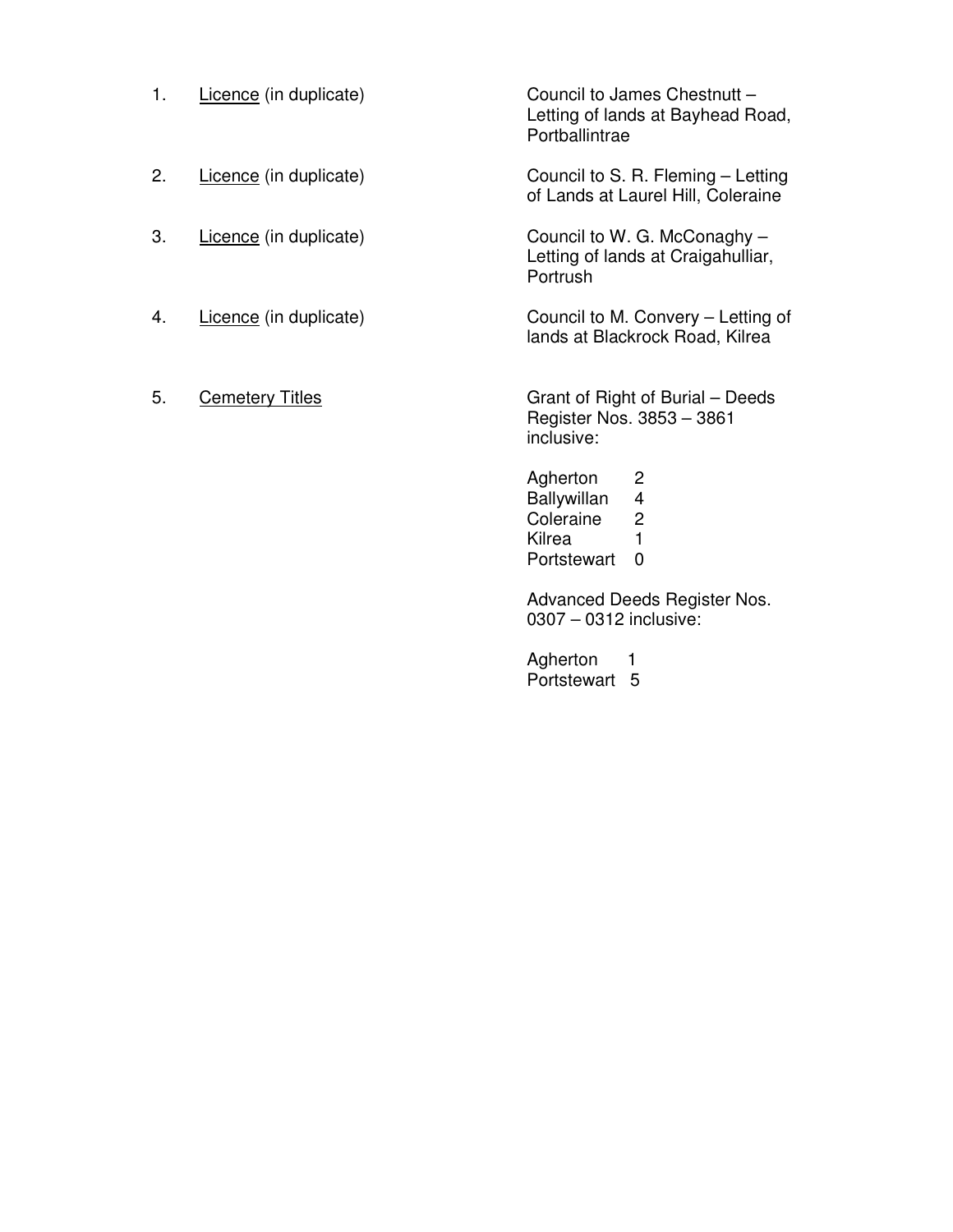- 1. Licence (in duplicate)
- 2. Licence (in duplicate)
- 3. Licence (in duplicate)
- 4. Licence (in duplicate)
- 5. **Cemetery Titles**

Council to James Chestnutt – Letting of lands at Bayhead Road, **Portballintrae** 

Council to S. R. Fleming – Letting of Lands at Laurel Hill, Coleraine

Council to W. G. McConaghy – Letting of lands at Craigahulliar, Portrush

Council to M. Convery – Letting of lands at Blackrock Road, Kilrea

Grant of Right of Burial – Deeds Register Nos. 3853 – 3861 inclusive:

Agherton 2 Ballywillan 4<br>Coleraine 2 Coleraine Kilrea 1 Portstewart 0

Advanced Deeds Register Nos. 0307 – 0312 inclusive:

Agherton 1 Portstewart 5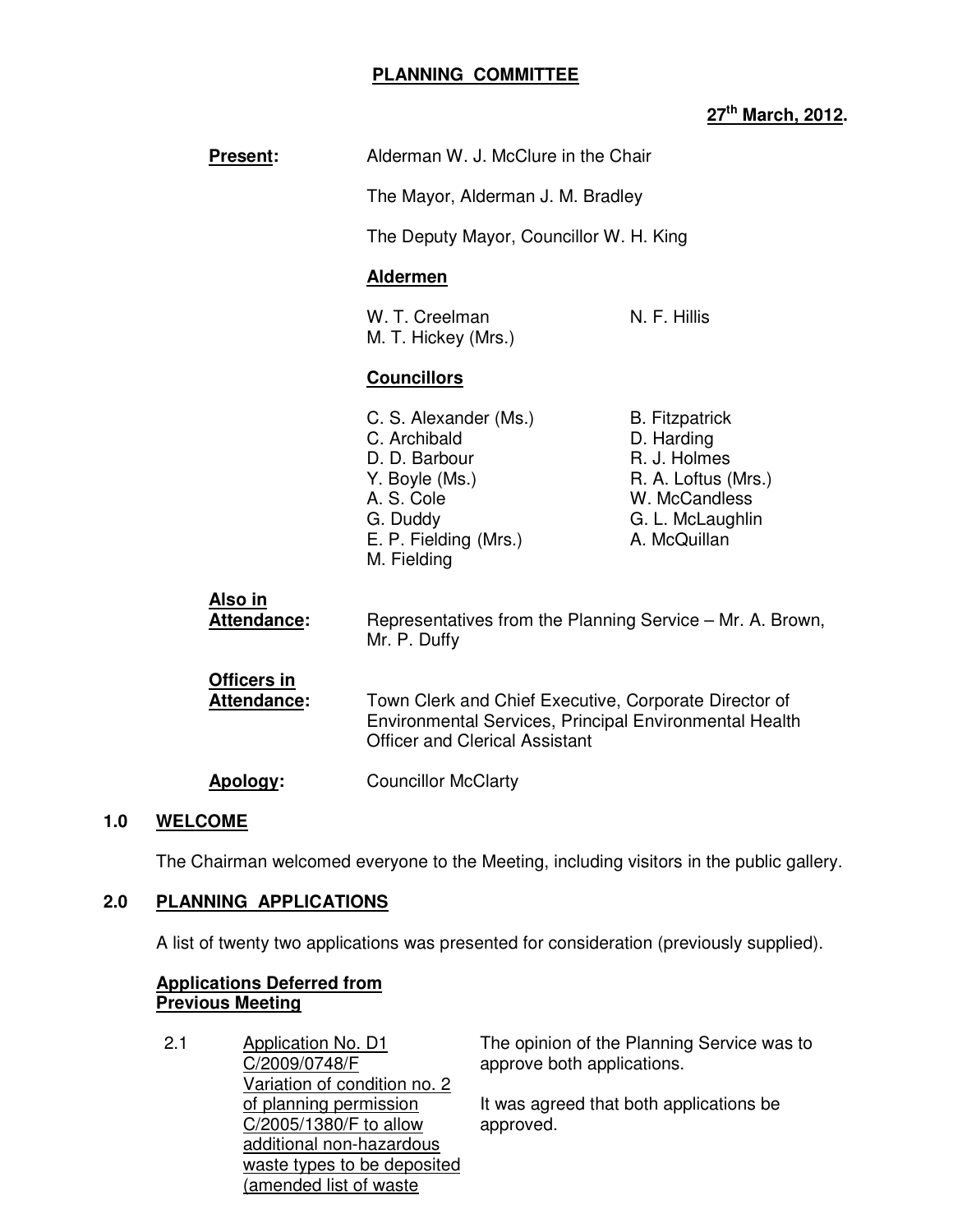## **PLANNING COMMITTEE**

# **27th March, 2012.**

|     | <b>Present:</b>                          | Alderman W. J. McClure in the Chair                                                                                                                      |                                                                                                                                 |
|-----|------------------------------------------|----------------------------------------------------------------------------------------------------------------------------------------------------------|---------------------------------------------------------------------------------------------------------------------------------|
|     |                                          | The Mayor, Alderman J. M. Bradley                                                                                                                        |                                                                                                                                 |
|     |                                          | The Deputy Mayor, Councillor W. H. King                                                                                                                  |                                                                                                                                 |
|     |                                          | <b>Aldermen</b>                                                                                                                                          |                                                                                                                                 |
|     |                                          | W. T. Creelman<br>M. T. Hickey (Mrs.)                                                                                                                    | N. F. Hillis                                                                                                                    |
|     |                                          | <b>Councillors</b>                                                                                                                                       |                                                                                                                                 |
|     |                                          | C. S. Alexander (Ms.)<br>C. Archibald<br>D. D. Barbour<br>Y. Boyle (Ms.)<br>A. S. Cole<br>G. Duddy<br>E. P. Fielding (Mrs.)<br>M. Fielding               | <b>B.</b> Fitzpatrick<br>D. Harding<br>R. J. Holmes<br>R. A. Loftus (Mrs.)<br>W. McCandless<br>G. L. McLaughlin<br>A. McQuillan |
|     | Also in<br><b>Attendance:</b>            | Representatives from the Planning Service – Mr. A. Brown,<br>Mr. P. Duffy                                                                                |                                                                                                                                 |
|     | <b>Officers in</b><br><b>Attendance:</b> | Town Clerk and Chief Executive, Corporate Director of<br>Environmental Services, Principal Environmental Health<br><b>Officer and Clerical Assistant</b> |                                                                                                                                 |
|     | Apology:                                 | <b>Councillor McClarty</b>                                                                                                                               |                                                                                                                                 |
| 1.0 | <b>WELCOME</b>                           |                                                                                                                                                          |                                                                                                                                 |

The Chairman welcomed everyone to the Meeting, including visitors in the public gallery.

# **2.0 PLANNING APPLICATIONS**

A list of twenty two applications was presented for consideration (previously supplied).

## **Applications Deferred from Previous Meeting**

2.1 Application No. D1 C/2009/0748/F Variation of condition no. 2 of planning permission C/2005/1380/F to allow additional non-hazardous waste types to be deposited (amended list of waste

The opinion of the Planning Service was to approve both applications.

It was agreed that both applications be approved.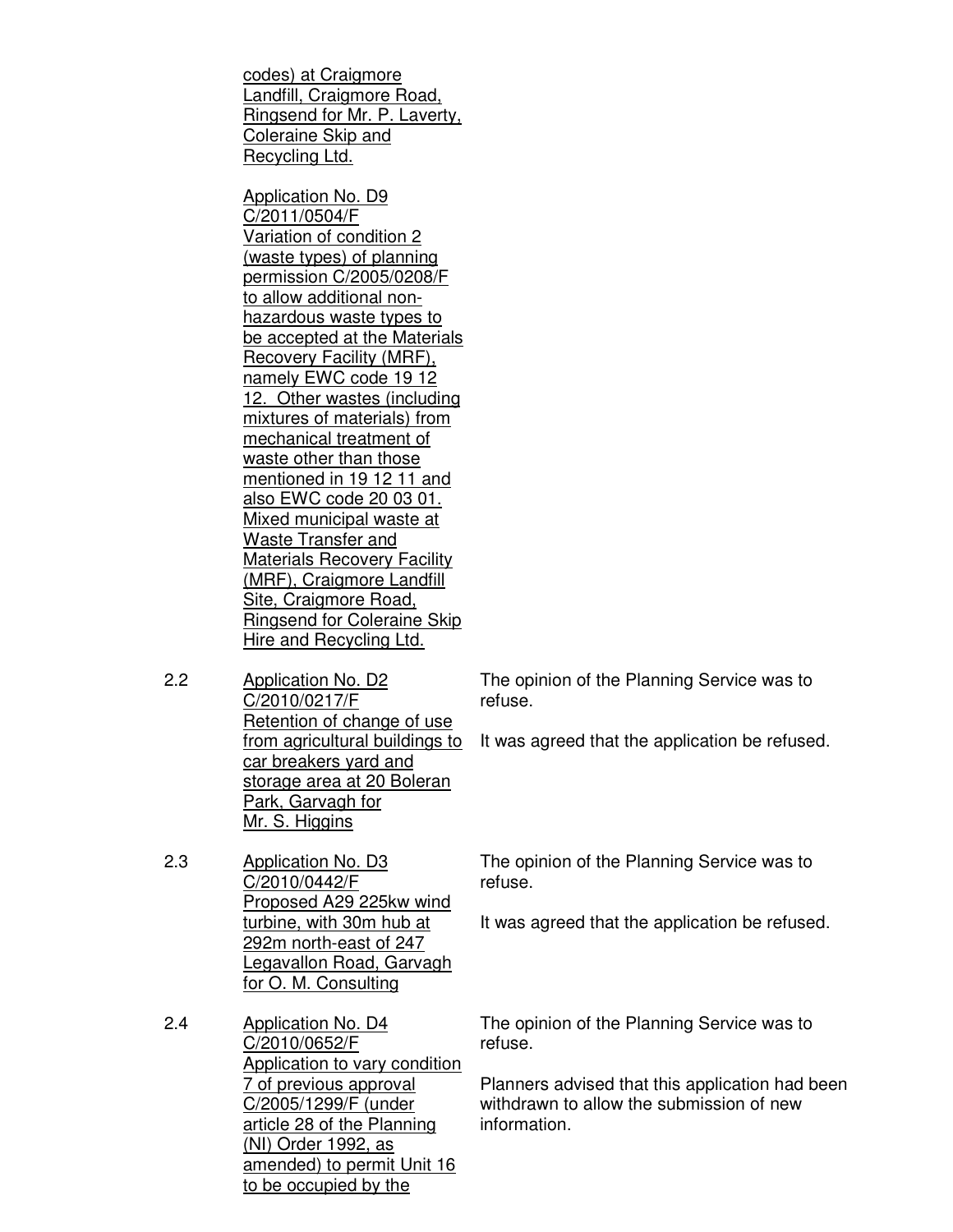codes) at Craigmore Landfill, Craigmore Road, Ringsend for Mr. P. Laverty, Coleraine Skip and Recycling Ltd.

Application No. D9 C/2011/0504/F Variation of condition 2 (waste types) of planning permission C/2005/0208/F to allow additional nonhazardous waste types to be accepted at the Materials Recovery Facility (MRF), namely EWC code 19 12 12. Other wastes (including mixtures of materials) from mechanical treatment of waste other than those mentioned in 19 12 11 and also EWC code 20 03 01. Mixed municipal waste at Waste Transfer and Materials Recovery Facility (MRF), Craigmore Landfill Site, Craigmore Road, Ringsend for Coleraine Skip Hire and Recycling Ltd.

2.2 Application No. D2 C/2010/0217/F Retention of change of use from agricultural buildings to car breakers yard and storage area at 20 Boleran Park, Garvagh for Mr. S. Higgins

2.3 Application No. D3 C/2010/0442/F Proposed A29 225kw wind turbine, with 30m hub at 292m north-east of 247 Legavallon Road, Garvagh for O. M. Consulting

2.4 Application No. D4 C/2010/0652/F Application to vary condition 7 of previous approval C/2005/1299/F (under article 28 of the Planning (NI) Order 1992, as amended) to permit Unit 16 to be occupied by the

The opinion of the Planning Service was to refuse.

It was agreed that the application be refused.

The opinion of the Planning Service was to refuse.

It was agreed that the application be refused.

The opinion of the Planning Service was to refuse.

Planners advised that this application had been withdrawn to allow the submission of new information.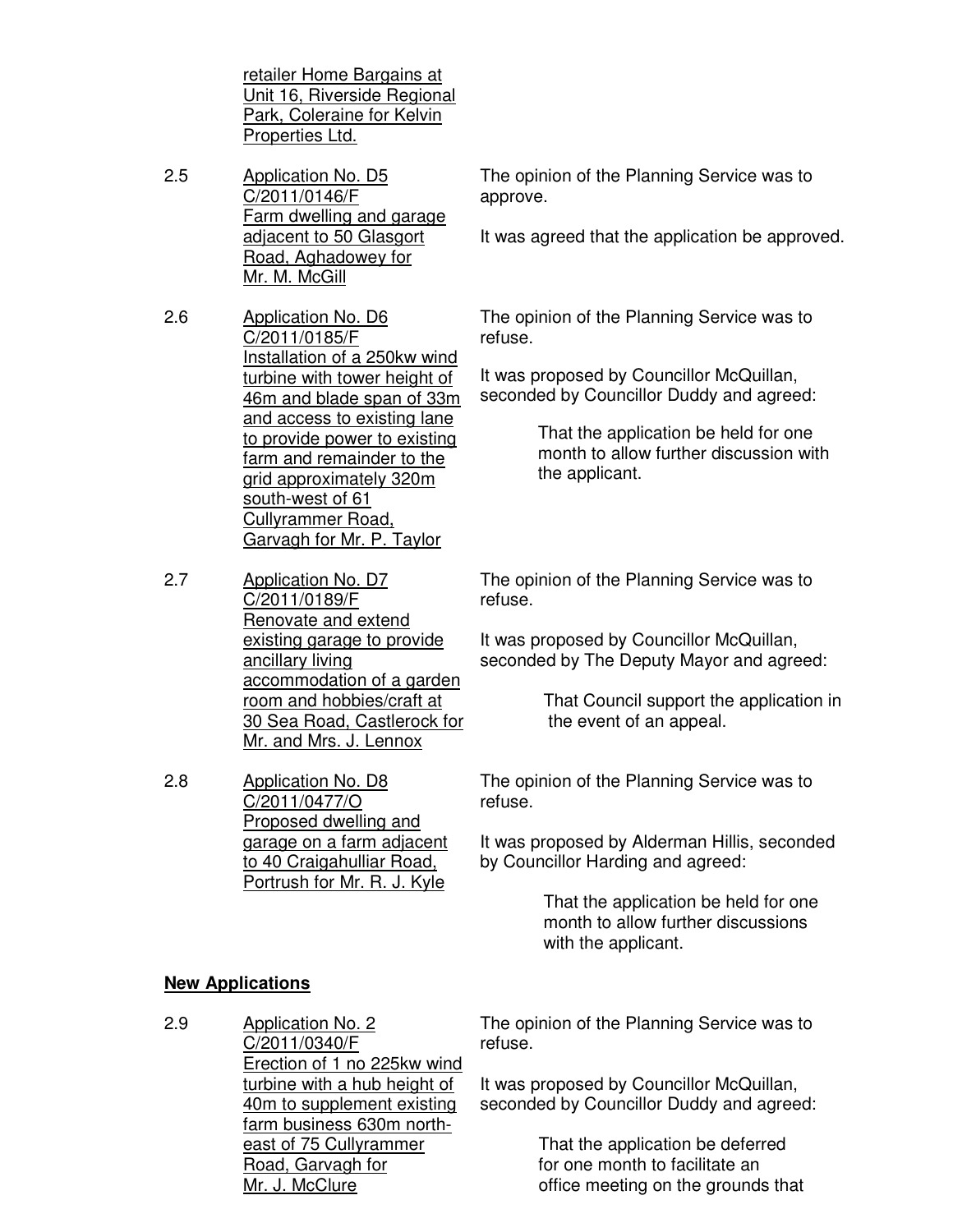retailer Home Bargains at Unit 16, Riverside Regional Park, Coleraine for Kelvin Properties Ltd.

- 2.5 Application No. D5 C/2011/0146/F Farm dwelling and garage adjacent to 50 Glasgort Road, Aghadowey for Mr. M. McGill
- 2.6 Application No. D6 C/2011/0185/F Installation of a 250kw wind turbine with tower height of 46m and blade span of 33m and access to existing lane to provide power to existing farm and remainder to the grid approximately 320m south-west of 61 Cullyrammer Road, Garvagh for Mr. P. Taylor
- 2.7 Application No. D7 C/2011/0189/F Renovate and extend existing garage to provide ancillary living accommodation of a garden room and hobbies/craft at 30 Sea Road, Castlerock for Mr. and Mrs. J. Lennox
- 2.8 Application No. D8 C/2011/0477/O Proposed dwelling and garage on a farm adjacent to 40 Craigahulliar Road, Portrush for Mr. R. J. Kyle

The opinion of the Planning Service was to approve.

It was agreed that the application be approved.

The opinion of the Planning Service was to refuse.

It was proposed by Councillor McQuillan, seconded by Councillor Duddy and agreed:

> That the application be held for one month to allow further discussion with the applicant.

The opinion of the Planning Service was to refuse.

It was proposed by Councillor McQuillan, seconded by The Deputy Mayor and agreed:

> That Council support the application in the event of an appeal.

The opinion of the Planning Service was to refuse.

It was proposed by Alderman Hillis, seconded by Councillor Harding and agreed:

> That the application be held for one month to allow further discussions with the applicant.

# **New Applications**

2.9 Application No. 2 C/2011/0340/F Erection of 1 no 225kw wind turbine with a hub height of 40m to supplement existing farm business 630m northeast of 75 Cullyrammer Road, Garvagh for Mr. J. McClure refuse.

The opinion of the Planning Service was to

It was proposed by Councillor McQuillan, seconded by Councillor Duddy and agreed:

> That the application be deferred for one month to facilitate an office meeting on the grounds that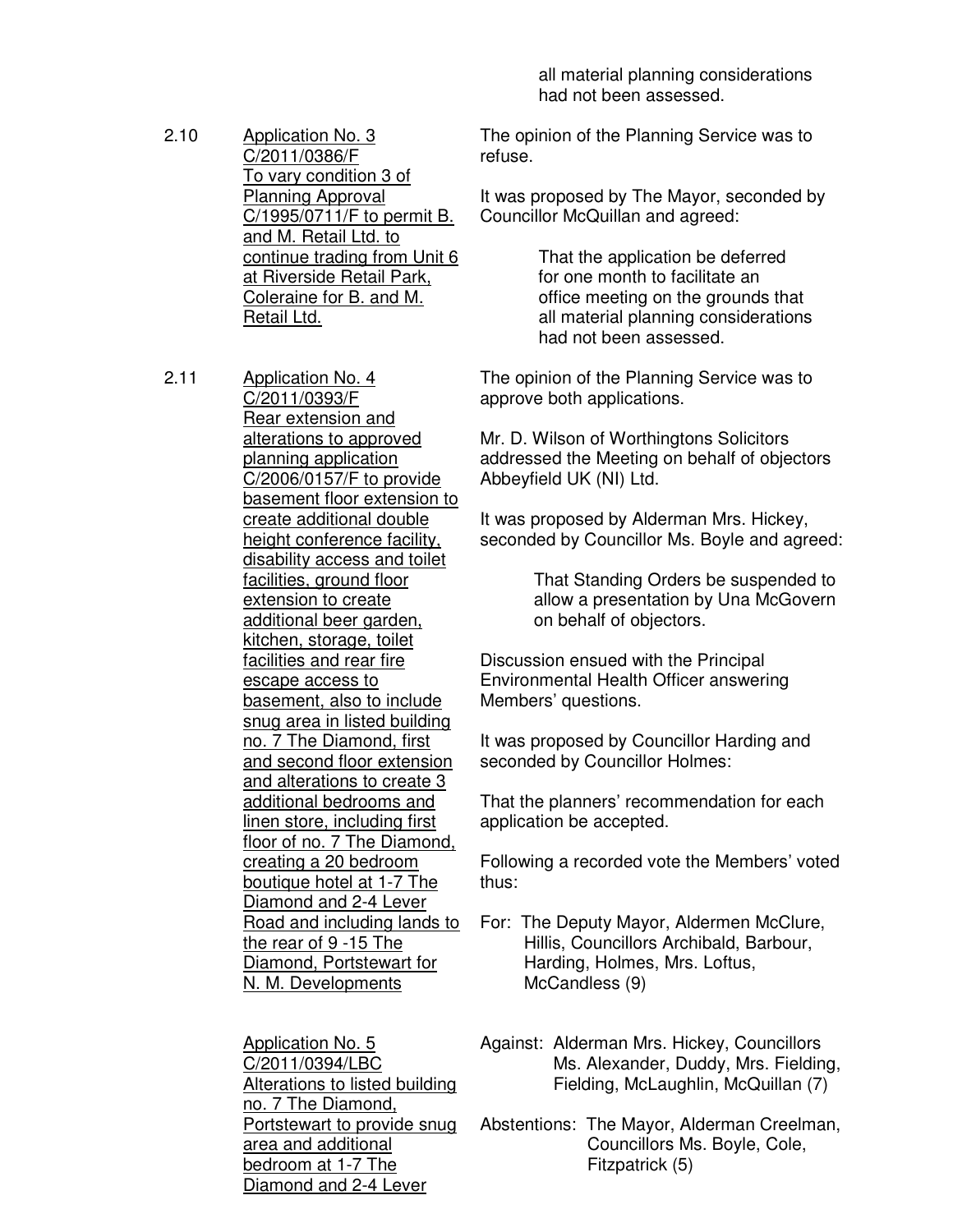- 2.10 Application No. 3 C/2011/0386/F To vary condition 3 of Planning Approval C/1995/0711/F to permit B. and M. Retail Ltd. to continue trading from Unit 6 at Riverside Retail Park, Coleraine for B. and M. Retail Ltd.
- 2.11 Application No. 4 C/2011/0393/F Rear extension and alterations to approved planning application C/2006/0157/F to provide basement floor extension to create additional double height conference facility, disability access and toilet facilities, ground floor extension to create additional beer garden, kitchen, storage, toilet facilities and rear fire escape access to basement, also to include snug area in listed building no. 7 The Diamond, first and second floor extension and alterations to create 3 additional bedrooms and linen store, including first floor of no. 7 The Diamond, creating a 20 bedroom boutique hotel at 1-7 The Diamond and 2-4 Lever Road and including lands to the rear of 9 -15 The Diamond, Portstewart for N. M. Developments

Application No. 5 C/2011/0394/LBC Alterations to listed building no. 7 The Diamond, Portstewart to provide snug area and additional bedroom at 1-7 The Diamond and 2-4 Lever

 all material planning considerations had not been assessed.

The opinion of the Planning Service was to refuse.

It was proposed by The Mayor, seconded by Councillor McQuillan and agreed:

> That the application be deferred for one month to facilitate an office meeting on the grounds that all material planning considerations had not been assessed.

The opinion of the Planning Service was to approve both applications.

Mr. D. Wilson of Worthingtons Solicitors addressed the Meeting on behalf of objectors Abbeyfield UK (NI) Ltd.

It was proposed by Alderman Mrs. Hickey, seconded by Councillor Ms. Boyle and agreed:

> That Standing Orders be suspended to allow a presentation by Una McGovern on behalf of objectors.

Discussion ensued with the Principal Environmental Health Officer answering Members' questions.

It was proposed by Councillor Harding and seconded by Councillor Holmes:

That the planners' recommendation for each application be accepted.

Following a recorded vote the Members' voted thus:

For: The Deputy Mayor, Aldermen McClure, Hillis, Councillors Archibald, Barbour, Harding, Holmes, Mrs. Loftus, McCandless (9)

Against: Alderman Mrs. Hickey, Councillors Ms. Alexander, Duddy, Mrs. Fielding, Fielding, McLaughlin, McQuillan (7)

Abstentions: The Mayor, Alderman Creelman, Councillors Ms. Boyle, Cole, Fitzpatrick (5)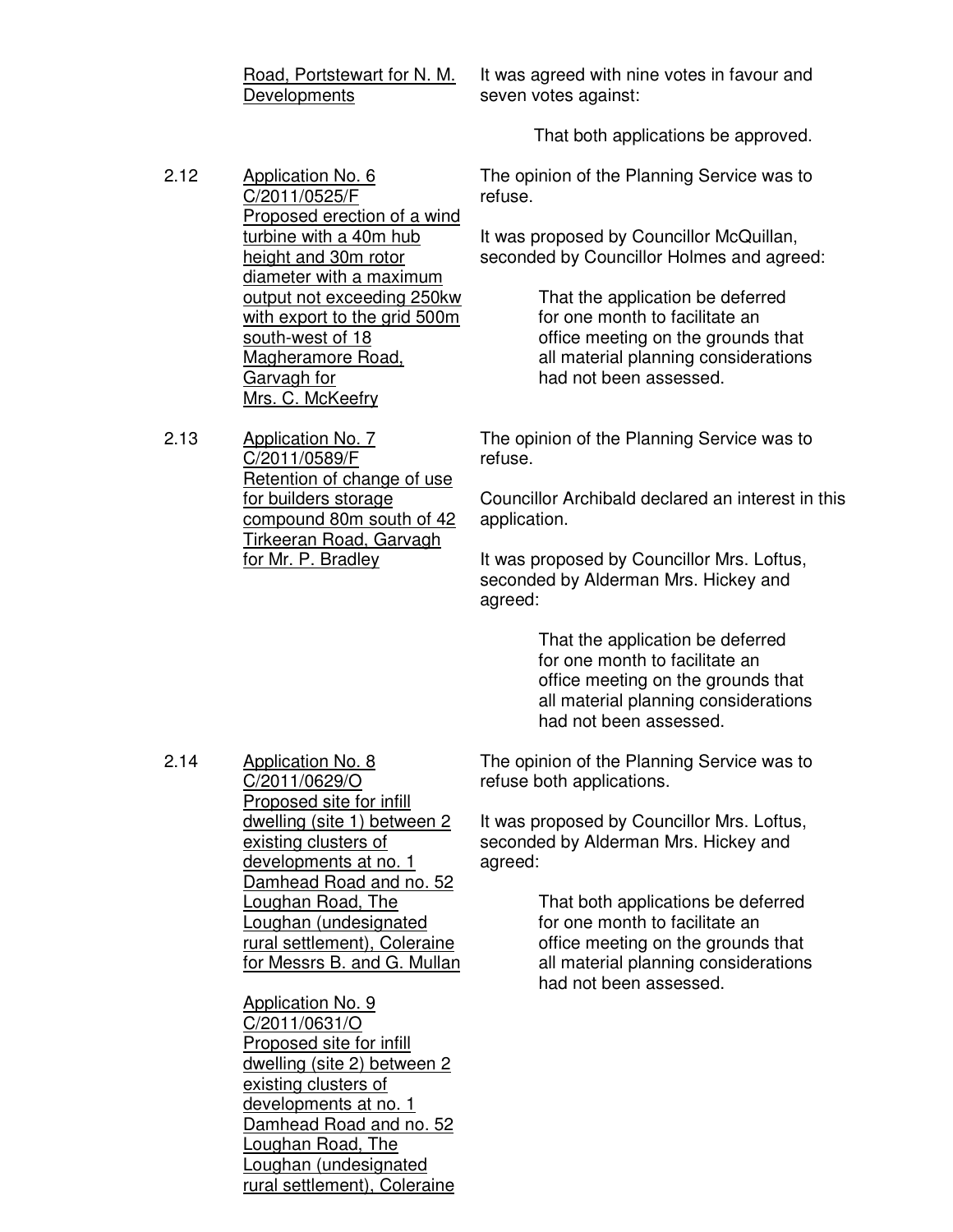Road, Portstewart for N. M. **Developments** 

It was agreed with nine votes in favour and seven votes against:

That both applications be approved.

- 2.12 Application No. 6 C/2011/0525/F Proposed erection of a wind turbine with a 40m hub height and 30m rotor diameter with a maximum output not exceeding 250kw with export to the grid 500m south-west of 18 Magheramore Road, Garvagh for Mrs. C. McKeefry
- 2.13 Application No. 7 C/2011/0589/F Retention of change of use for builders storage compound 80m south of 42 Tirkeeran Road, Garvagh for Mr. P. Bradley

The opinion of the Planning Service was to refuse.

It was proposed by Councillor McQuillan, seconded by Councillor Holmes and agreed:

> That the application be deferred for one month to facilitate an office meeting on the grounds that all material planning considerations had not been assessed.

The opinion of the Planning Service was to refuse.

Councillor Archibald declared an interest in this application.

It was proposed by Councillor Mrs. Loftus, seconded by Alderman Mrs. Hickey and agreed:

> That the application be deferred for one month to facilitate an office meeting on the grounds that all material planning considerations had not been assessed.

2.14 Application No. 8 C/2011/0629/O Proposed site for infill dwelling (site 1) between 2 existing clusters of developments at no. 1 Damhead Road and no. 52 Loughan Road, The Loughan (undesignated rural settlement), Coleraine for Messrs B. and G. Mullan

> Application No. 9 C/2011/0631/O Proposed site for infill dwelling (site 2) between 2 existing clusters of developments at no. 1 Damhead Road and no. 52 Loughan Road, The Loughan (undesignated rural settlement), Coleraine

The opinion of the Planning Service was to refuse both applications.

It was proposed by Councillor Mrs. Loftus, seconded by Alderman Mrs. Hickey and agreed:

> That both applications be deferred for one month to facilitate an office meeting on the grounds that all material planning considerations had not been assessed.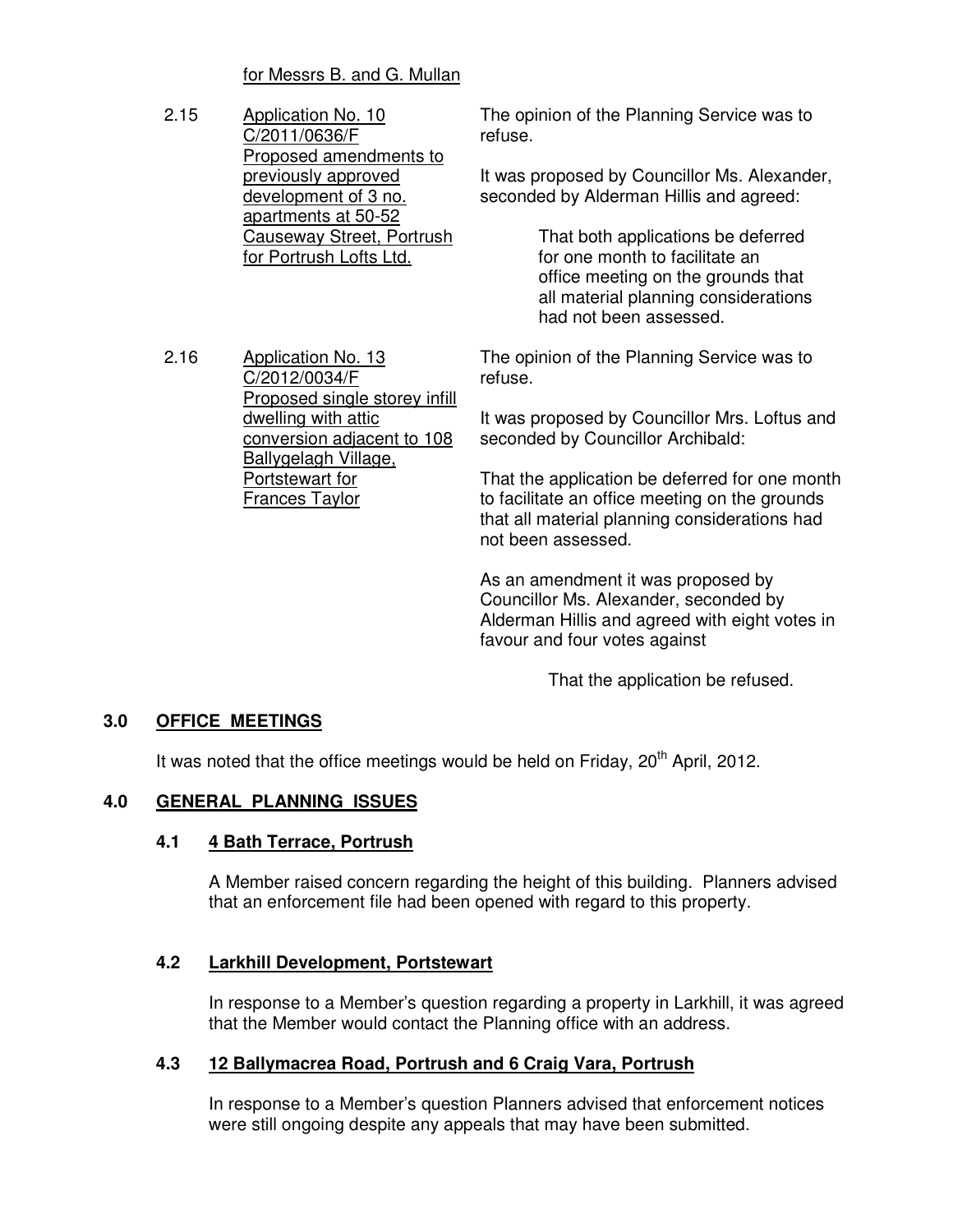## for Messrs B. and G. Mullan

2.15 Application No. 10 C/2011/0636/F Proposed amendments to previously approved development of 3 no. apartments at 50-52 Causeway Street, Portrush for Portrush Lofts Ltd.

The opinion of the Planning Service was to refuse.

It was proposed by Councillor Ms. Alexander, seconded by Alderman Hillis and agreed:

> That both applications be deferred for one month to facilitate an office meeting on the grounds that all material planning considerations had not been assessed.

2.16 Application No. 13 C/2012/0034/F Proposed single storey infill dwelling with attic conversion adjacent to 108 Ballygelagh Village, Portstewart for Frances Taylor

The opinion of the Planning Service was to refuse.

It was proposed by Councillor Mrs. Loftus and seconded by Councillor Archibald:

That the application be deferred for one month to facilitate an office meeting on the grounds that all material planning considerations had not been assessed.

As an amendment it was proposed by Councillor Ms. Alexander, seconded by Alderman Hillis and agreed with eight votes in favour and four votes against

That the application be refused.

# **3.0 OFFICE MEETINGS**

It was noted that the office meetings would be held on Friday, 20<sup>th</sup> April, 2012.

## **4.0 GENERAL PLANNING ISSUES**

## **4.1 4 Bath Terrace, Portrush**

A Member raised concern regarding the height of this building. Planners advised that an enforcement file had been opened with regard to this property.

## **4.2 Larkhill Development, Portstewart**

In response to a Member's question regarding a property in Larkhill, it was agreed that the Member would contact the Planning office with an address.

# **4.3 12 Ballymacrea Road, Portrush and 6 Craig Vara, Portrush**

In response to a Member's question Planners advised that enforcement notices were still ongoing despite any appeals that may have been submitted.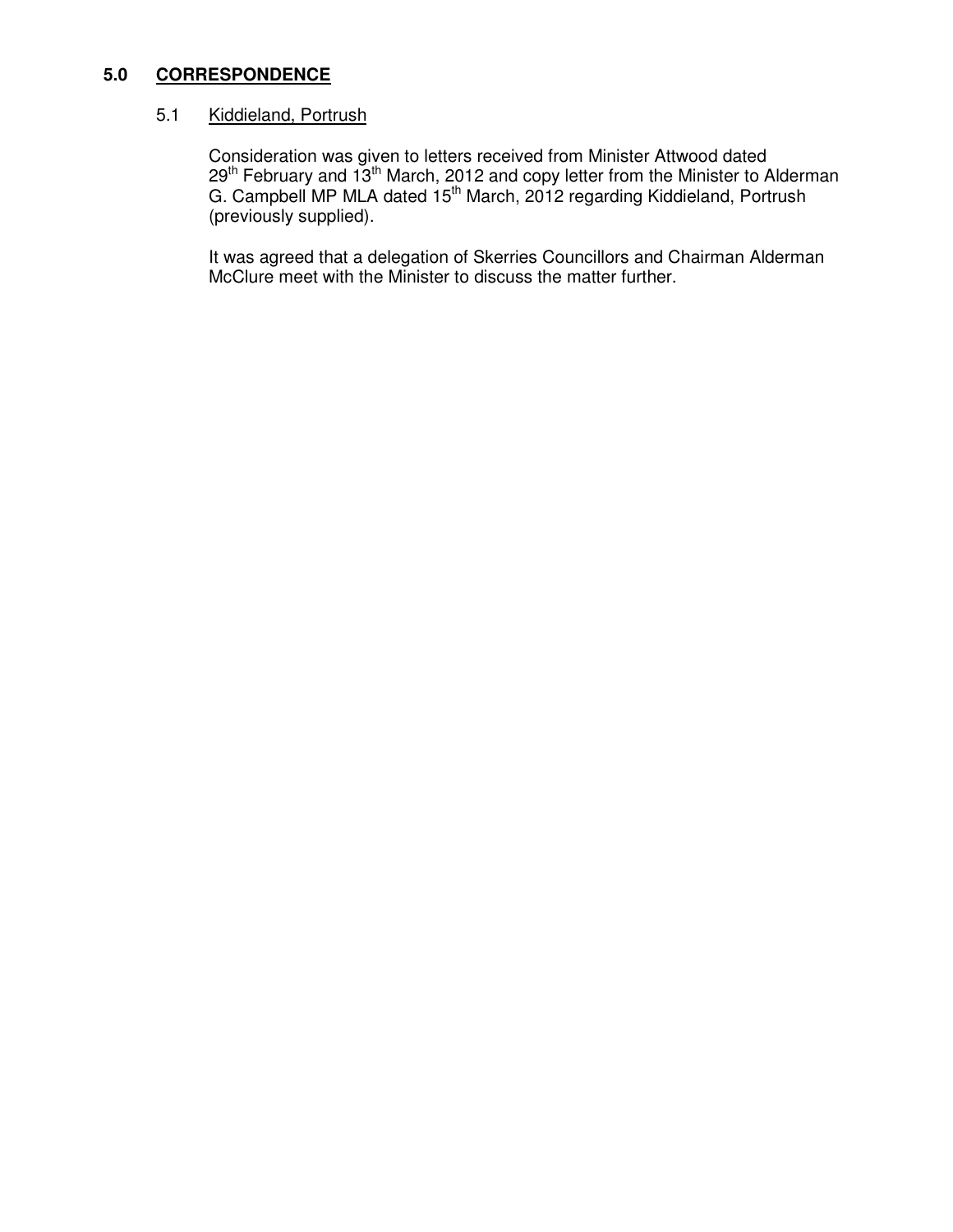#### **5.0 CORRESPONDENCE**

# 5.1 Kiddieland, Portrush

 Consideration was given to letters received from Minister Attwood dated  $29<sup>th</sup>$  February and  $13<sup>th</sup>$  March, 2012 and copy letter from the Minister to Alderman G. Campbell MP MLA dated 15<sup>th</sup> March, 2012 regarding Kiddieland, Portrush (previously supplied).

> It was agreed that a delegation of Skerries Councillors and Chairman Alderman McClure meet with the Minister to discuss the matter further.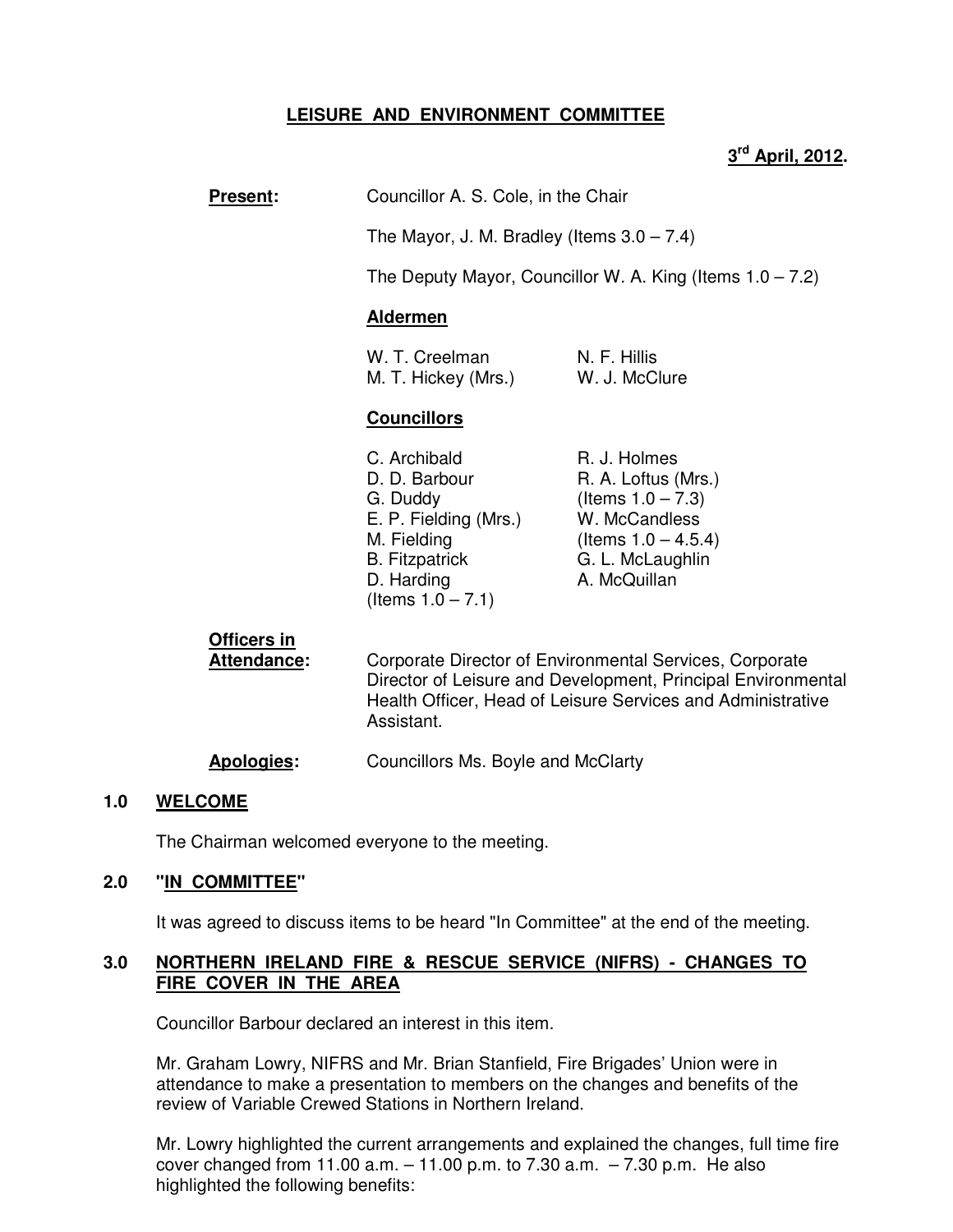# **LEISURE AND ENVIRONMENT COMMITTEE**

# **3 rd April, 2012.**

|  | <b>Present:</b> | Councillor A. S. Cole, in the Chair |
|--|-----------------|-------------------------------------|
|--|-----------------|-------------------------------------|

The Mayor, J. M. Bradley (Items  $3.0 - 7.4$ )

The Deputy Mayor, Councillor W. A. King (Items  $1.0 - 7.2$ )

#### **Aldermen**

| W. T. Creelman      | N. F. Hillis  |
|---------------------|---------------|
| M. T. Hickey (Mrs.) | W. J. McClure |

#### **Councillors**

| C. Archibald          | R. J. Holmes           |
|-----------------------|------------------------|
| D. D. Barbour         | R. A. Loftus (Mrs.)    |
| G. Duddy              | (Items $1.0 - 7.3$ )   |
| E. P. Fielding (Mrs.) | W. McCandless          |
| M. Fielding           | (Items $1.0 - 4.5.4$ ) |
| <b>B.</b> Fitzpatrick | G. L. McLaughlin       |
| D. Harding            | A. McQuillan           |
| (Items $1.0 - 7.1$ )  |                        |

# **Officers in**

**Attendance:** Corporate Director of Environmental Services, Corporate Director of Leisure and Development, Principal Environmental Health Officer, Head of Leisure Services and Administrative Assistant.

#### **Apologies:** Councillors Ms. Boyle and McClarty

#### **1.0 WELCOME**

The Chairman welcomed everyone to the meeting.

## **2.0 "IN COMMITTEE"**

It was agreed to discuss items to be heard "In Committee" at the end of the meeting.

#### **3.0 NORTHERN IRELAND FIRE & RESCUE SERVICE (NIFRS) - CHANGES TO FIRE COVER IN THE AREA**

Councillor Barbour declared an interest in this item.

Mr. Graham Lowry, NIFRS and Mr. Brian Stanfield, Fire Brigades' Union were in attendance to make a presentation to members on the changes and benefits of the review of Variable Crewed Stations in Northern Ireland.

Mr. Lowry highlighted the current arrangements and explained the changes, full time fire cover changed from 11.00 a.m.  $-11.00$  p.m. to 7.30 a.m.  $-7.30$  p.m. He also highlighted the following benefits: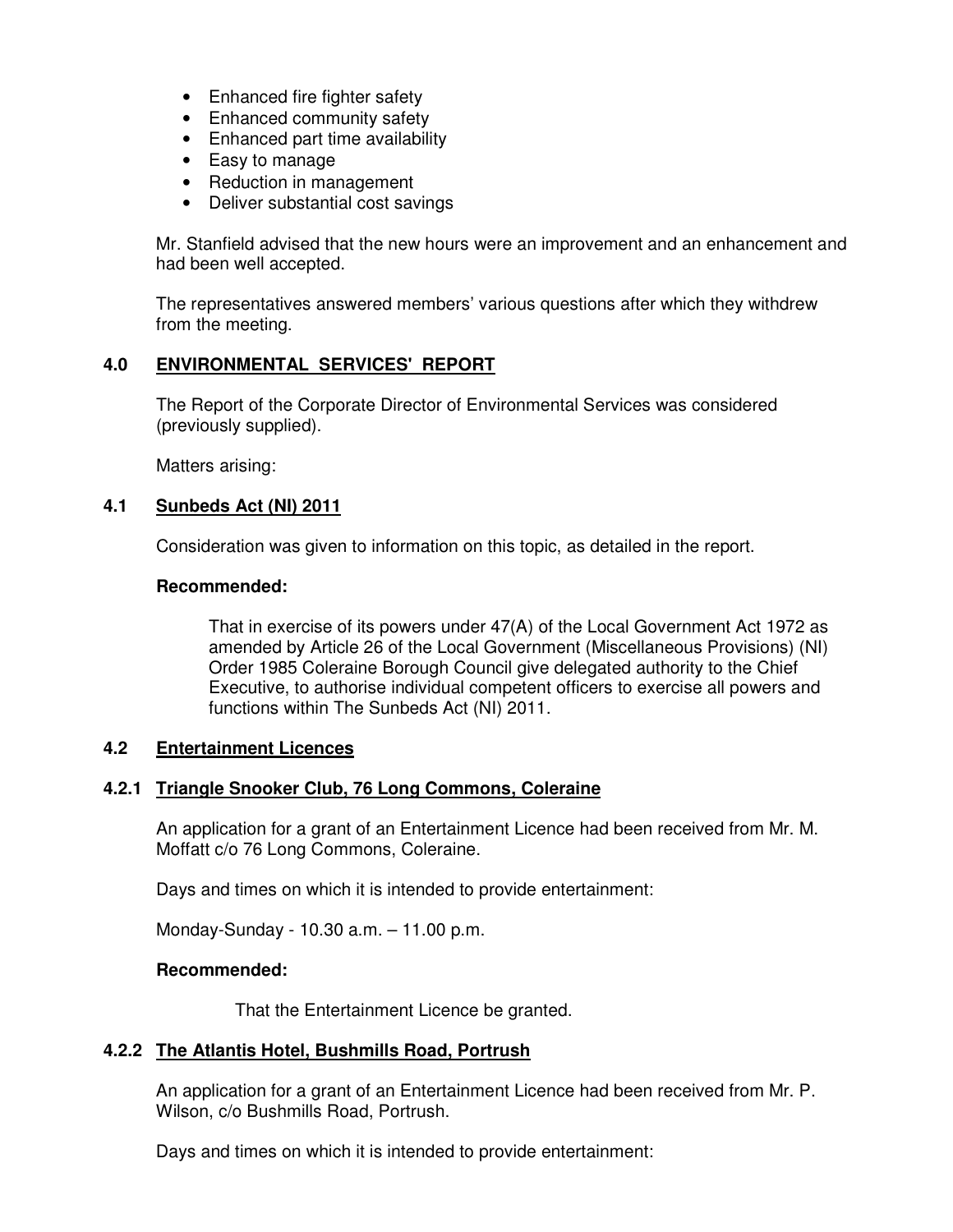- Enhanced fire fighter safety
- Enhanced community safety
- Enhanced part time availability
- Easy to manage
- Reduction in management
- Deliver substantial cost savings

Mr. Stanfield advised that the new hours were an improvement and an enhancement and had been well accepted.

The representatives answered members' various questions after which they withdrew from the meeting.

# **4.0 ENVIRONMENTAL SERVICES' REPORT**

 The Report of the Corporate Director of Environmental Services was considered (previously supplied).

Matters arising:

## **4.1 Sunbeds Act (NI) 2011**

Consideration was given to information on this topic, as detailed in the report.

#### **Recommended:**

That in exercise of its powers under 47(A) of the Local Government Act 1972 as amended by Article 26 of the Local Government (Miscellaneous Provisions) (NI) Order 1985 Coleraine Borough Council give delegated authority to the Chief Executive, to authorise individual competent officers to exercise all powers and functions within The Sunbeds Act (NI) 2011.

# **4.2 Entertainment Licences**

## **4.2.1 Triangle Snooker Club, 76 Long Commons, Coleraine**

An application for a grant of an Entertainment Licence had been received from Mr. M. Moffatt c/o 76 Long Commons, Coleraine.

Days and times on which it is intended to provide entertainment:

Monday-Sunday - 10.30 a.m. – 11.00 p.m.

#### **Recommended:**

That the Entertainment Licence be granted.

## **4.2.2 The Atlantis Hotel, Bushmills Road, Portrush**

An application for a grant of an Entertainment Licence had been received from Mr. P. Wilson, c/o Bushmills Road, Portrush.

Days and times on which it is intended to provide entertainment: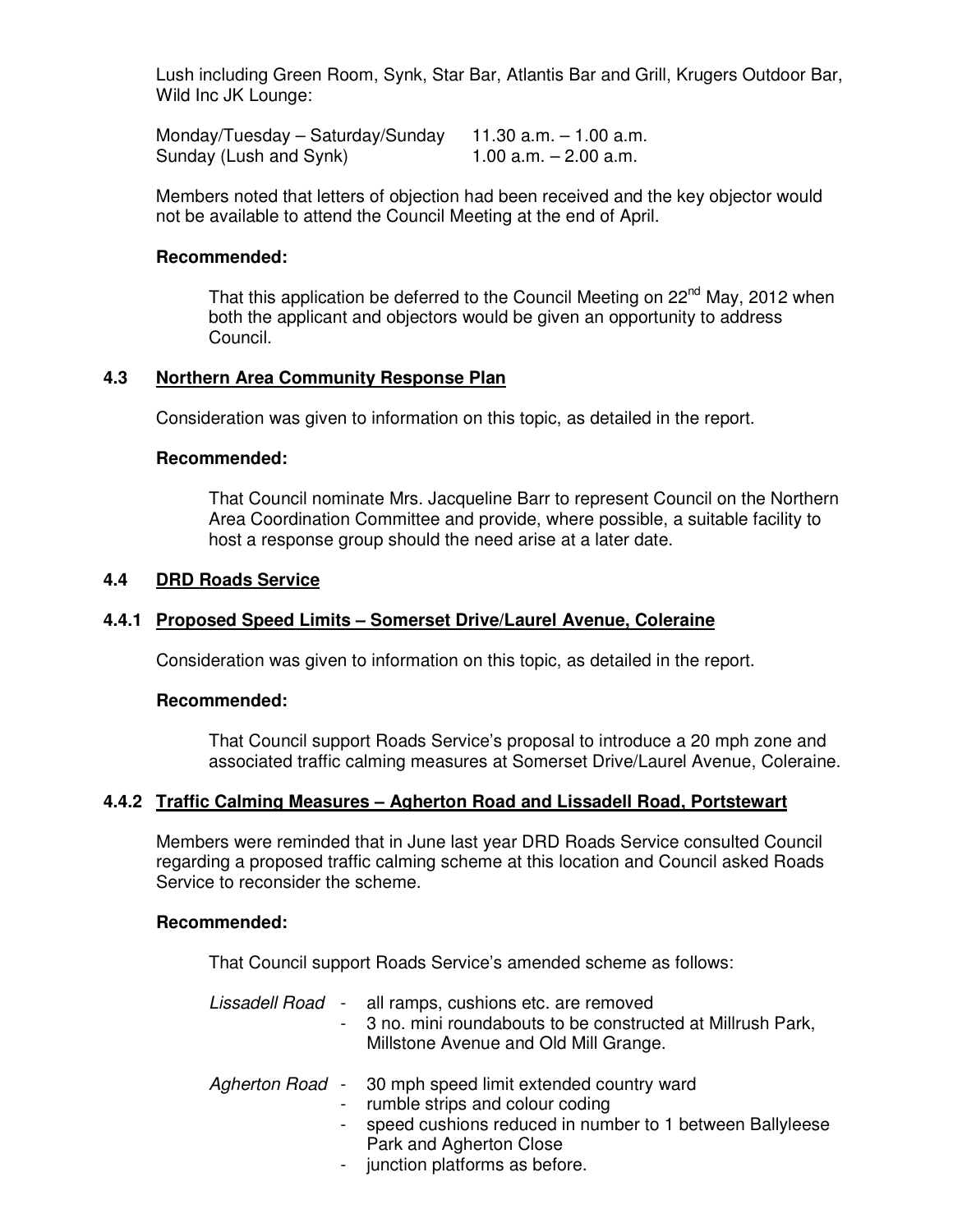Lush including Green Room, Synk, Star Bar, Atlantis Bar and Grill, Krugers Outdoor Bar, Wild Inc JK Lounge:

Monday/Tuesday – Saturday/Sunday  $11.30$  a.m.  $-1.00$  a.m.<br>Sunday (Lush and Synk)  $1.00$  a.m.  $-2.00$  a.m. Sunday (Lush and Synk)

 Members noted that letters of objection had been received and the key objector would not be available to attend the Council Meeting at the end of April.

#### **Recommended:**

That this application be deferred to the Council Meeting on  $22^{nd}$  May, 2012 when both the applicant and objectors would be given an opportunity to address Council.

#### **4.3 Northern Area Community Response Plan**

Consideration was given to information on this topic, as detailed in the report.

#### **Recommended:**

That Council nominate Mrs. Jacqueline Barr to represent Council on the Northern Area Coordination Committee and provide, where possible, a suitable facility to host a response group should the need arise at a later date.

#### **4.4 DRD Roads Service**

#### **4.4.1 Proposed Speed Limits – Somerset Drive/Laurel Avenue, Coleraine**

Consideration was given to information on this topic, as detailed in the report.

#### **Recommended:**

That Council support Roads Service's proposal to introduce a 20 mph zone and associated traffic calming measures at Somerset Drive/Laurel Avenue, Coleraine.

#### **4.4.2 Traffic Calming Measures – Agherton Road and Lissadell Road, Portstewart**

Members were reminded that in June last year DRD Roads Service consulted Council regarding a proposed traffic calming scheme at this location and Council asked Roads Service to reconsider the scheme.

#### **Recommended:**

That Council support Roads Service's amended scheme as follows:

|        | Lissadell Road - all ramps, cushions etc. are removed<br>- 3 no. mini roundabouts to be constructed at Millrush Park,<br>Millstone Avenue and Old Mill Grange.                                                          |
|--------|-------------------------------------------------------------------------------------------------------------------------------------------------------------------------------------------------------------------------|
| $\sim$ | Agherton Road - 30 mph speed limit extended country ward<br>- rumble strips and colour coding<br>speed cushions reduced in number to 1 between Ballyleese<br>Park and Agherton Close<br>- junction platforms as before. |

junction platforms as before.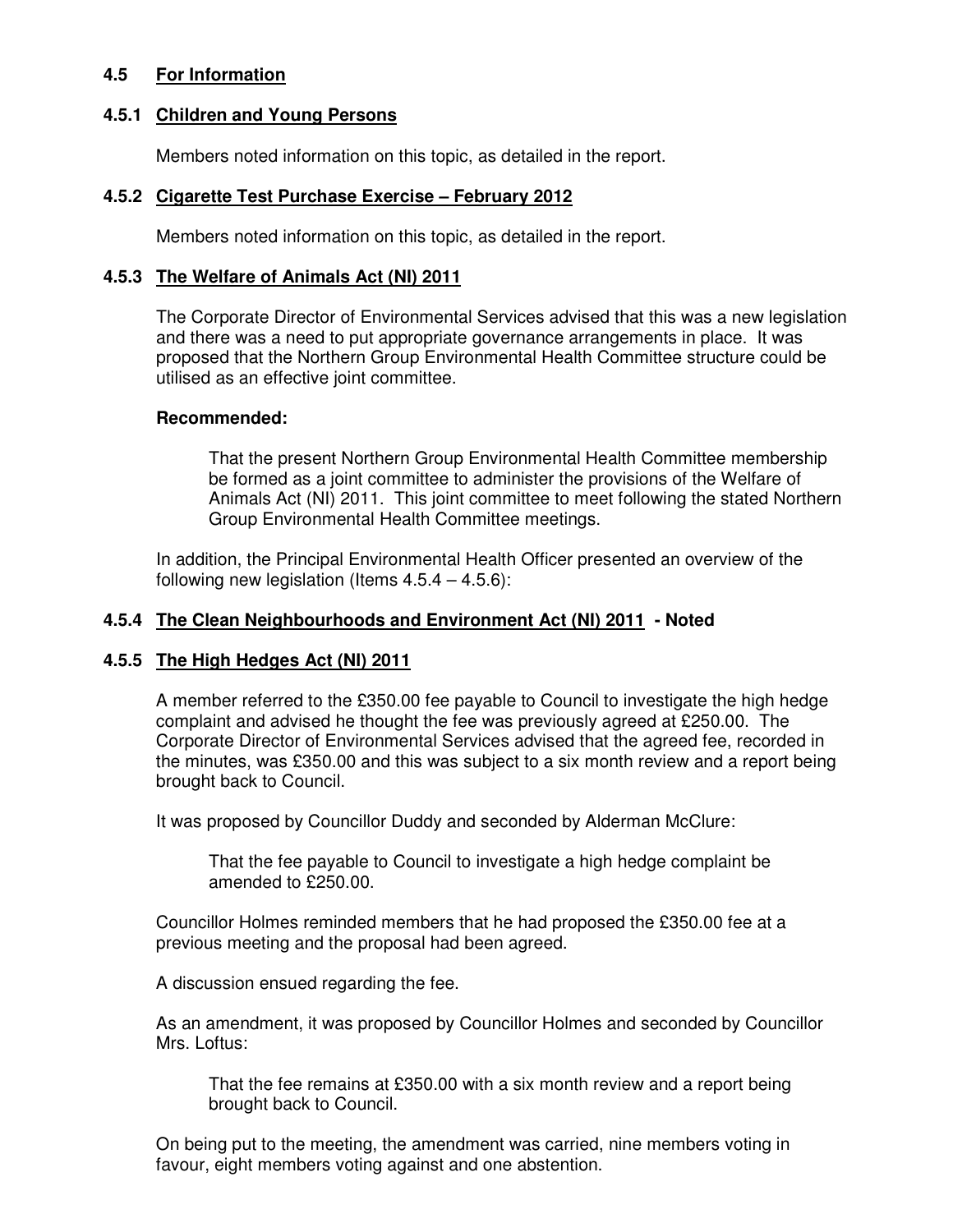# **4.5 For Information**

## **4.5.1 Children and Young Persons**

Members noted information on this topic, as detailed in the report.

# **4.5.2 Cigarette Test Purchase Exercise – February 2012**

Members noted information on this topic, as detailed in the report.

## **4.5.3 The Welfare of Animals Act (NI) 2011**

The Corporate Director of Environmental Services advised that this was a new legislation and there was a need to put appropriate governance arrangements in place. It was proposed that the Northern Group Environmental Health Committee structure could be utilised as an effective joint committee.

# **Recommended:**

That the present Northern Group Environmental Health Committee membership be formed as a joint committee to administer the provisions of the Welfare of Animals Act (NI) 2011. This joint committee to meet following the stated Northern Group Environmental Health Committee meetings.

In addition, the Principal Environmental Health Officer presented an overview of the following new legislation (Items  $4.5.4 - 4.5.6$ ):

# **4.5.4 The Clean Neighbourhoods and Environment Act (NI) 2011 - Noted**

## **4.5.5 The High Hedges Act (NI) 2011**

A member referred to the £350.00 fee payable to Council to investigate the high hedge complaint and advised he thought the fee was previously agreed at £250.00. The Corporate Director of Environmental Services advised that the agreed fee, recorded in the minutes, was £350.00 and this was subject to a six month review and a report being brought back to Council.

It was proposed by Councillor Duddy and seconded by Alderman McClure:

That the fee payable to Council to investigate a high hedge complaint be amended to £250.00.

Councillor Holmes reminded members that he had proposed the £350.00 fee at a previous meeting and the proposal had been agreed.

A discussion ensued regarding the fee.

As an amendment, it was proposed by Councillor Holmes and seconded by Councillor Mrs. Loftus:

That the fee remains at £350.00 with a six month review and a report being brought back to Council.

 On being put to the meeting, the amendment was carried, nine members voting in favour, eight members voting against and one abstention.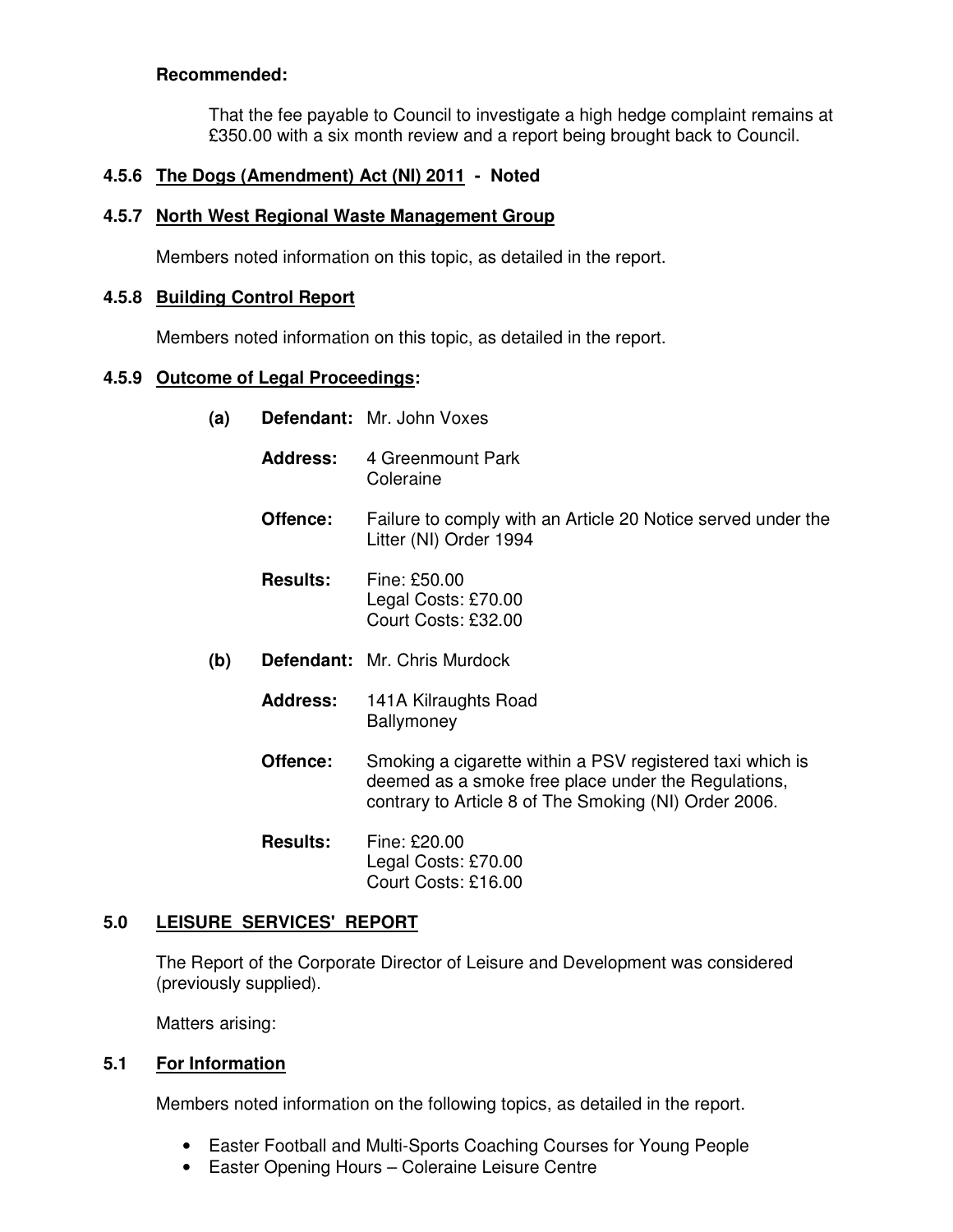# **Recommended:**

That the fee payable to Council to investigate a high hedge complaint remains at £350.00 with a six month review and a report being brought back to Council.

# **4.5.6 The Dogs (Amendment) Act (NI) 2011 - Noted**

## **4.5.7 North West Regional Waste Management Group**

Members noted information on this topic, as detailed in the report.

## **4.5.8 Building Control Report**

Members noted information on this topic, as detailed in the report.

## **4.5.9 Outcome of Legal Proceedings:**

- **(a) Defendant:** Mr. John Voxes
	- Address: 4 Greenmount Park Coleraine
	- **Offence:** Failure to comply with an Article 20 Notice served under the Litter (NI) Order 1994
	- **Results:** Fine: £50.00 Legal Costs: £70.00 Court Costs: £32.00
- **(b) Defendant:** Mr. Chris Murdock
	- **Address:** 141A Kilraughts RoadBallymoney
	- **Offence:** Smoking a cigarette within a PSV registered taxi which is deemed as a smoke free place under the Regulations, contrary to Article 8 of The Smoking (NI) Order 2006.
	- **Results:** Fine: £20.00 Legal Costs: £70.00 Court Costs: £16.00

## **5.0 LEISURE SERVICES' REPORT**

 The Report of the Corporate Director of Leisure and Development was considered (previously supplied).

Matters arising:

## **5.1 For Information**

Members noted information on the following topics, as detailed in the report.

- Easter Football and Multi-Sports Coaching Courses for Young People
- Easter Opening Hours Coleraine Leisure Centre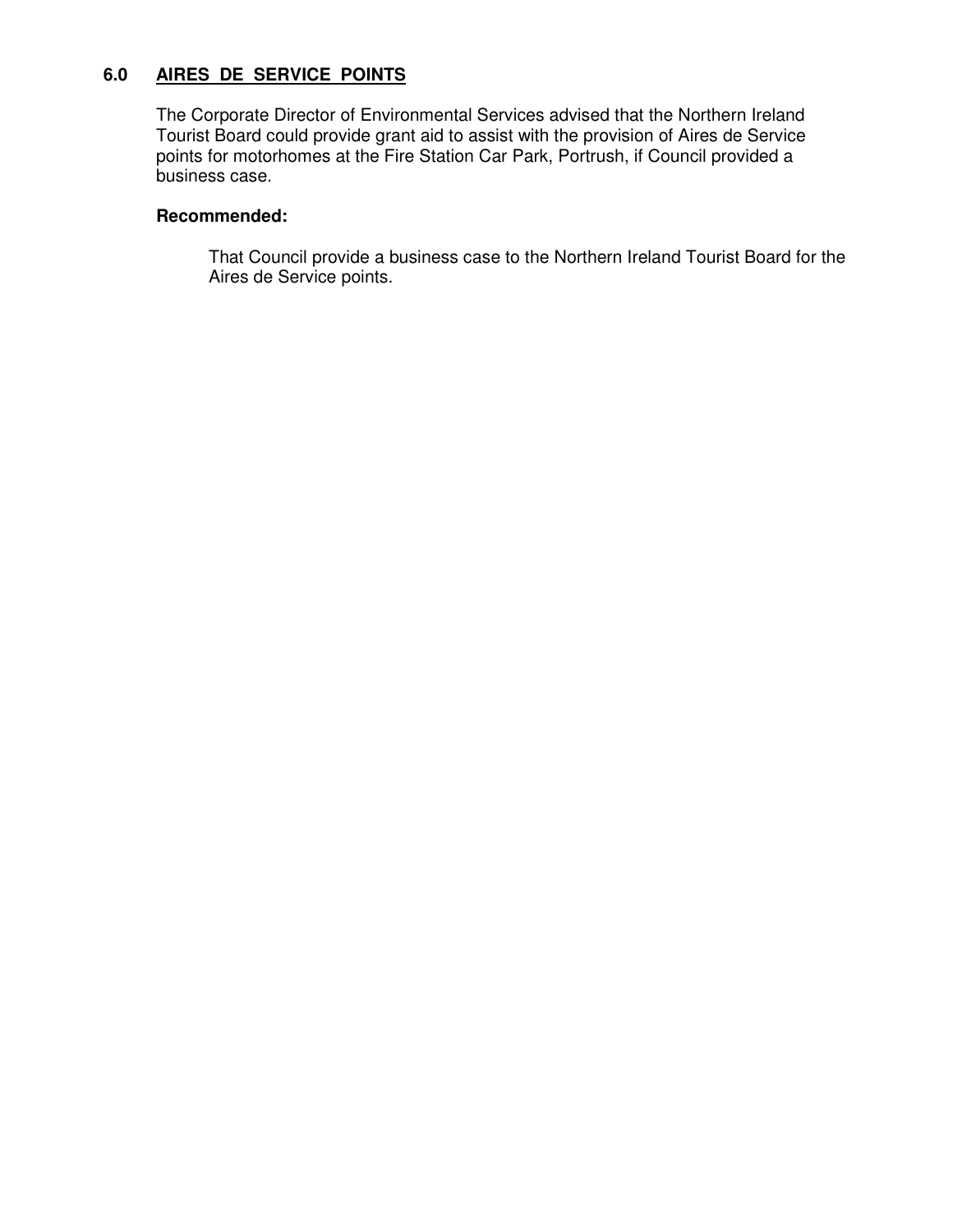# **6.0 AIRES DE SERVICE POINTS**

The Corporate Director of Environmental Services advised that the Northern Ireland Tourist Board could provide grant aid to assist with the provision of Aires de Service points for motorhomes at the Fire Station Car Park, Portrush, if Council provided a business case.

#### **Recommended:**

That Council provide a business case to the Northern Ireland Tourist Board for the Aires de Service points.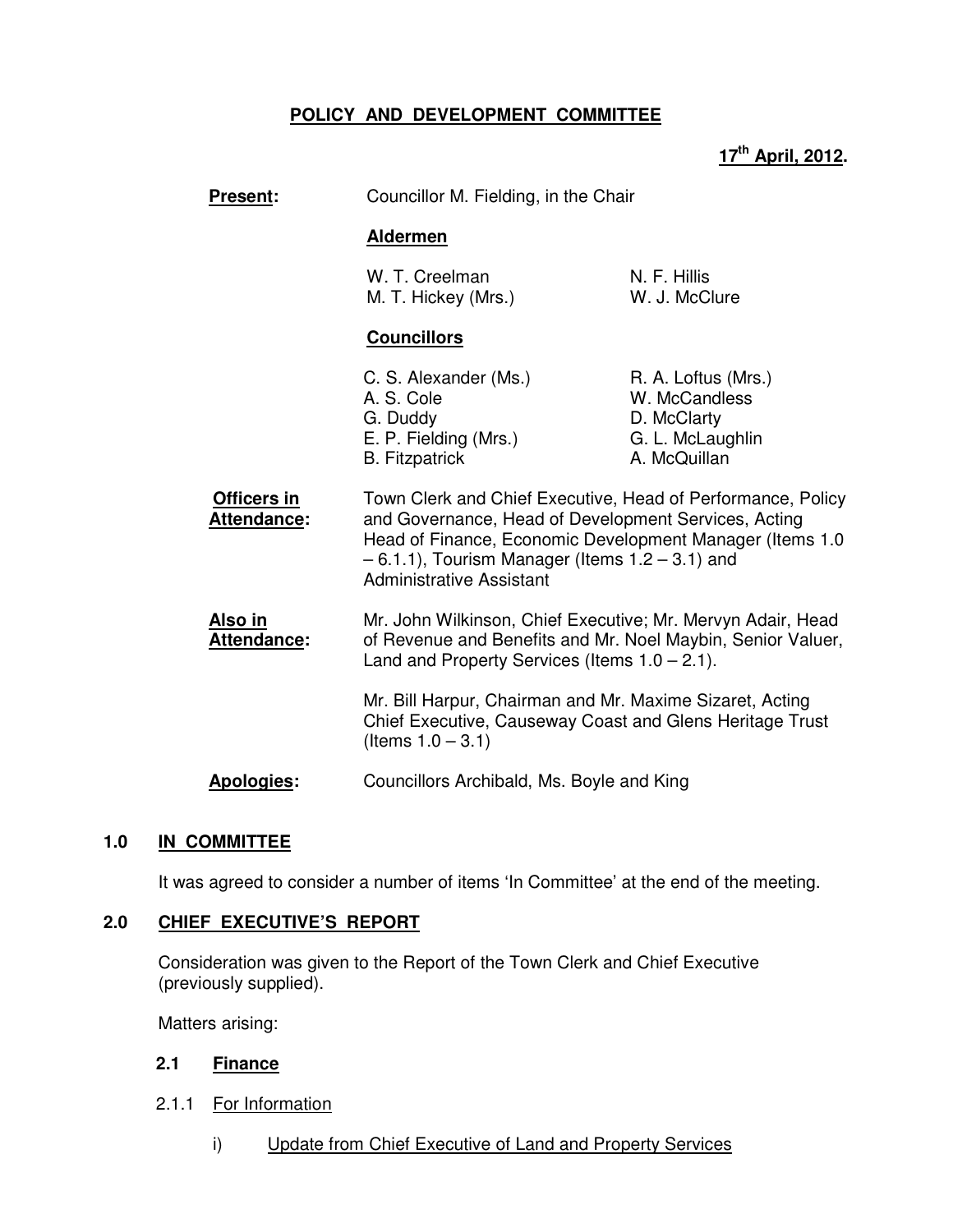# **POLICY AND DEVELOPMENT COMMITTEE**

## **17th April, 2012.**

| <b>Present:</b>               | Councillor M. Fielding, in the Chair                                                                                                                                                                                                                                        |                                                                                         |
|-------------------------------|-----------------------------------------------------------------------------------------------------------------------------------------------------------------------------------------------------------------------------------------------------------------------------|-----------------------------------------------------------------------------------------|
|                               | <b>Aldermen</b>                                                                                                                                                                                                                                                             |                                                                                         |
|                               | W. T. Creelman<br>M. T. Hickey (Mrs.)                                                                                                                                                                                                                                       | N. F. Hillis<br>W. J. McClure                                                           |
|                               | <b>Councillors</b>                                                                                                                                                                                                                                                          |                                                                                         |
|                               | C. S. Alexander (Ms.)<br>A. S. Cole<br>G. Duddy<br>E. P. Fielding (Mrs.)<br><b>B.</b> Fitzpatrick                                                                                                                                                                           | R. A. Loftus (Mrs.)<br>W. McCandless<br>D. McClarty<br>G. L. McLaughlin<br>A. McQuillan |
| Officers in<br>Attendance:    | Town Clerk and Chief Executive, Head of Performance, Policy<br>and Governance, Head of Development Services, Acting<br>Head of Finance, Economic Development Manager (Items 1.0)<br>$-6.1.1$ ), Tourism Manager (Items $1.2 - 3.1$ ) and<br><b>Administrative Assistant</b> |                                                                                         |
| <u>Also in</u><br>Attendance: | Mr. John Wilkinson, Chief Executive; Mr. Mervyn Adair, Head<br>of Revenue and Benefits and Mr. Noel Maybin, Senior Valuer,<br>Land and Property Services (Items $1.0 - 2.1$ ).                                                                                              |                                                                                         |
|                               | Mr. Bill Harpur, Chairman and Mr. Maxime Sizaret, Acting<br>Chief Executive, Causeway Coast and Glens Heritage Trust<br>(Items $1.0 - 3.1$ )                                                                                                                                |                                                                                         |
| <b>Apologies:</b>             | Councillors Archibald, Ms. Boyle and King                                                                                                                                                                                                                                   |                                                                                         |

## **1.0 IN COMMITTEE**

It was agreed to consider a number of items 'In Committee' at the end of the meeting.

## **2.0 CHIEF EXECUTIVE'S REPORT**

 Consideration was given to the Report of the Town Clerk and Chief Executive (previously supplied).

Matters arising:

#### **2.1 Finance**

- 2.1.1 For Information
	- i) Update from Chief Executive of Land and Property Services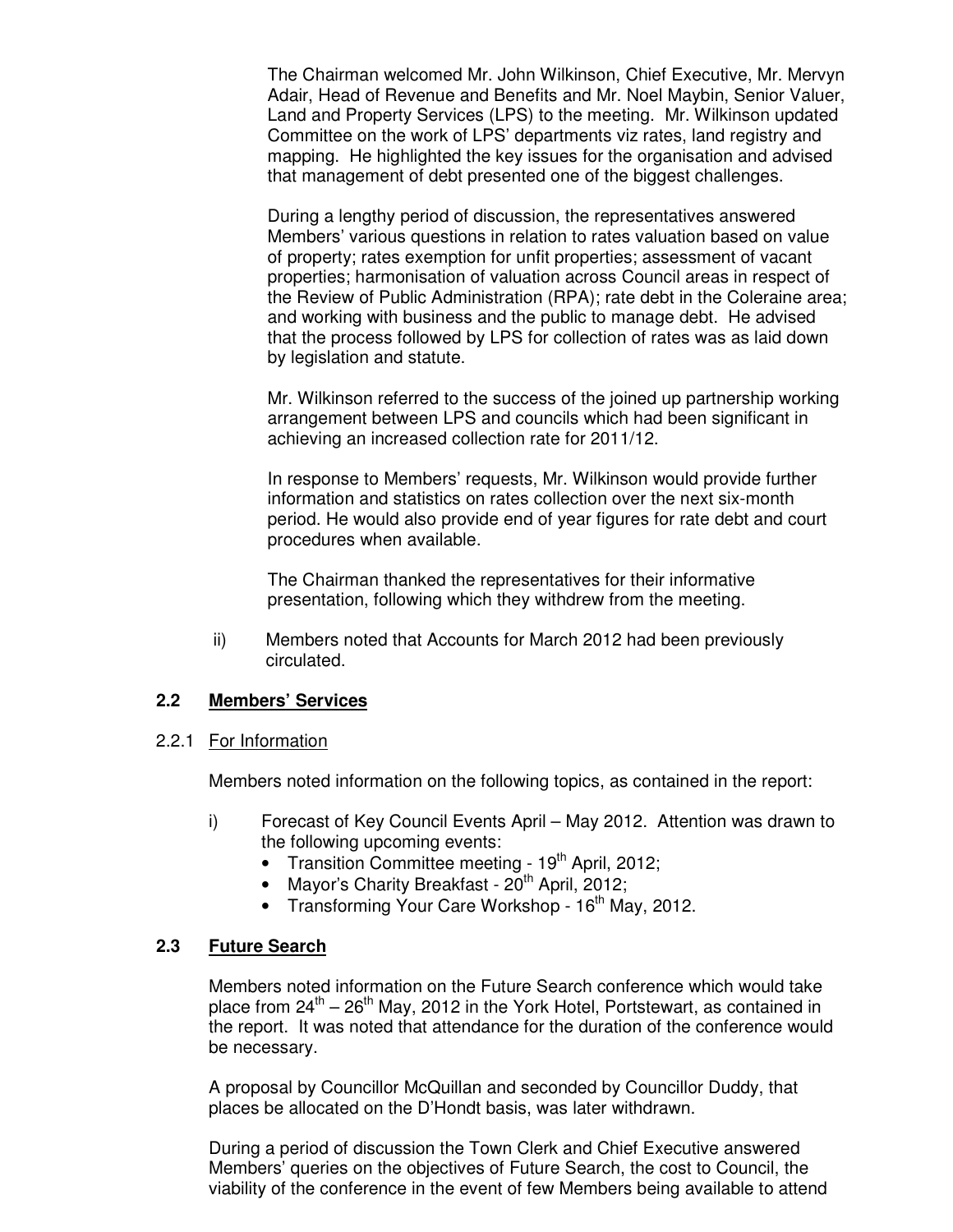The Chairman welcomed Mr. John Wilkinson, Chief Executive, Mr. Mervyn Adair, Head of Revenue and Benefits and Mr. Noel Maybin, Senior Valuer, Land and Property Services (LPS) to the meeting. Mr. Wilkinson updated Committee on the work of LPS' departments viz rates, land registry and mapping. He highlighted the key issues for the organisation and advised that management of debt presented one of the biggest challenges.

During a lengthy period of discussion, the representatives answered Members' various questions in relation to rates valuation based on value of property; rates exemption for unfit properties; assessment of vacant properties; harmonisation of valuation across Council areas in respect of the Review of Public Administration (RPA); rate debt in the Coleraine area; and working with business and the public to manage debt. He advised that the process followed by LPS for collection of rates was as laid down by legislation and statute.

Mr. Wilkinson referred to the success of the joined up partnership working arrangement between LPS and councils which had been significant in achieving an increased collection rate for 2011/12.

In response to Members' requests, Mr. Wilkinson would provide further information and statistics on rates collection over the next six-month period. He would also provide end of year figures for rate debt and court procedures when available.

The Chairman thanked the representatives for their informative presentation, following which they withdrew from the meeting.

ii) Members noted that Accounts for March 2012 had been previously circulated.

## **2.2 Members' Services**

## 2.2.1 For Information

Members noted information on the following topics, as contained in the report:

- i) Forecast of Key Council Events April May 2012. Attention was drawn to the following upcoming events:
	- Transition Committee meeting  $19<sup>th</sup>$  April, 2012;
	- Mayor's Charity Breakfast  $20^{th}$  April,  $2012$ ;
	- Transforming Your Care Workshop  $16<sup>th</sup>$  May, 2012.

## **2.3 Future Search**

Members noted information on the Future Search conference which would take place from  $24^{th} - 26^{th}$  May, 2012 in the York Hotel, Portstewart, as contained in the report. It was noted that attendance for the duration of the conference would be necessary.

A proposal by Councillor McQuillan and seconded by Councillor Duddy, that places be allocated on the D'Hondt basis, was later withdrawn.

During a period of discussion the Town Clerk and Chief Executive answered Members' queries on the objectives of Future Search, the cost to Council, the viability of the conference in the event of few Members being available to attend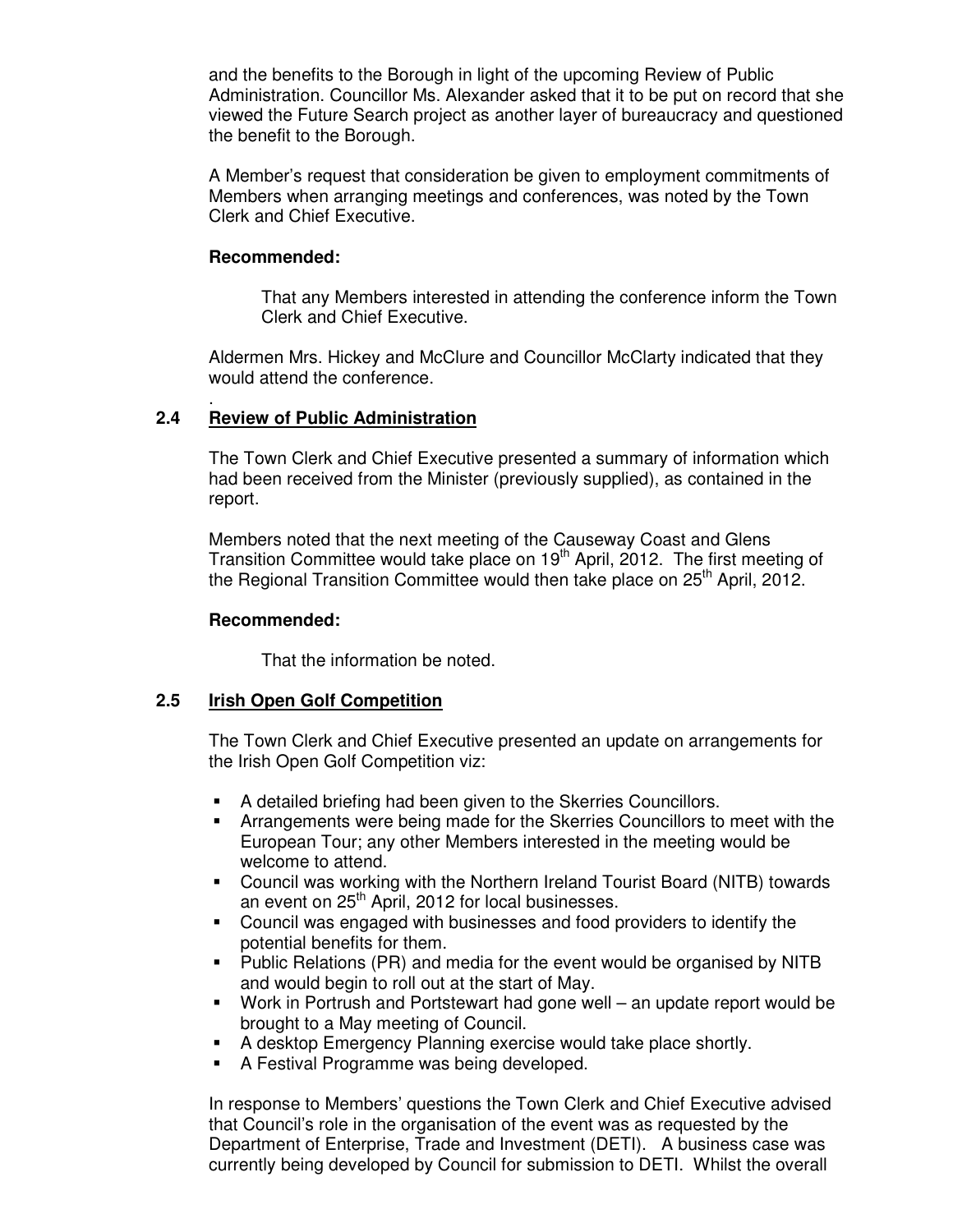and the benefits to the Borough in light of the upcoming Review of Public Administration. Councillor Ms. Alexander asked that it to be put on record that she viewed the Future Search project as another layer of bureaucracy and questioned the benefit to the Borough.

A Member's request that consideration be given to employment commitments of Members when arranging meetings and conferences, was noted by the Town Clerk and Chief Executive.

## **Recommended:**

 That any Members interested in attending the conference inform the Town Clerk and Chief Executive.

Aldermen Mrs. Hickey and McClure and Councillor McClarty indicated that they would attend the conference.

#### . **2.4 Review of Public Administration**

The Town Clerk and Chief Executive presented a summary of information which had been received from the Minister (previously supplied), as contained in the report.

Members noted that the next meeting of the Causeway Coast and Glens Transition Committee would take place on 19<sup>th</sup> April, 2012. The first meeting of the Regional Transition Committee would then take place on  $25<sup>th</sup>$  April, 2012.

#### **Recommended:**

That the information be noted.

## **2.5 Irish Open Golf Competition**

The Town Clerk and Chief Executive presented an update on arrangements for the Irish Open Golf Competition viz:

- A detailed briefing had been given to the Skerries Councillors.
- Arrangements were being made for the Skerries Councillors to meet with the European Tour; any other Members interested in the meeting would be welcome to attend.
- Council was working with the Northern Ireland Tourist Board (NITB) towards an event on 25<sup>th</sup> April, 2012 for local businesses.
- Council was engaged with businesses and food providers to identify the potential benefits for them.
- Public Relations (PR) and media for the event would be organised by NITB and would begin to roll out at the start of May.
- Work in Portrush and Portstewart had gone well an update report would be brought to a May meeting of Council.
- A desktop Emergency Planning exercise would take place shortly.
- A Festival Programme was being developed.

In response to Members' questions the Town Clerk and Chief Executive advised that Council's role in the organisation of the event was as requested by the Department of Enterprise, Trade and Investment (DETI). A business case was currently being developed by Council for submission to DETI. Whilst the overall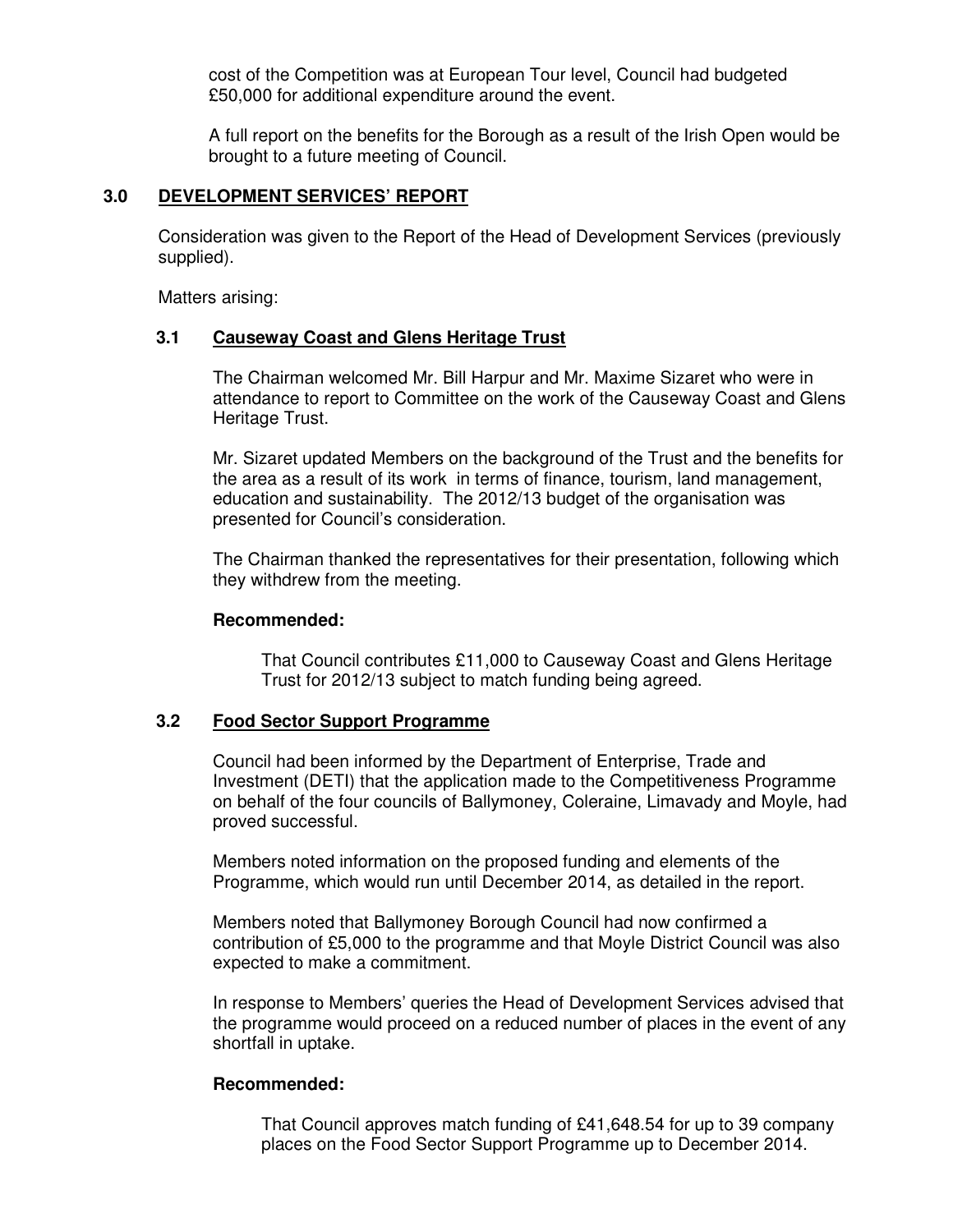cost of the Competition was at European Tour level, Council had budgeted £50,000 for additional expenditure around the event.

A full report on the benefits for the Borough as a result of the Irish Open would be brought to a future meeting of Council.

# **3.0 DEVELOPMENT SERVICES' REPORT**

 Consideration was given to the Report of the Head of Development Services (previously supplied).

Matters arising:

#### **3.1 Causeway Coast and Glens Heritage Trust**

The Chairman welcomed Mr. Bill Harpur and Mr. Maxime Sizaret who were in attendance to report to Committee on the work of the Causeway Coast and Glens Heritage Trust.

 Mr. Sizaret updated Members on the background of the Trust and the benefits for the area as a result of its work in terms of finance, tourism, land management, education and sustainability. The 2012/13 budget of the organisation was presented for Council's consideration.

 The Chairman thanked the representatives for their presentation, following which they withdrew from the meeting.

#### **Recommended:**

That Council contributes £11,000 to Causeway Coast and Glens Heritage Trust for 2012/13 subject to match funding being agreed.

#### **3.2 Food Sector Support Programme**

Council had been informed by the Department of Enterprise, Trade and Investment (DETI) that the application made to the Competitiveness Programme on behalf of the four councils of Ballymoney, Coleraine, Limavady and Moyle, had proved successful.

 Members noted information on the proposed funding and elements of the Programme, which would run until December 2014, as detailed in the report.

 Members noted that Ballymoney Borough Council had now confirmed a contribution of £5,000 to the programme and that Moyle District Council was also expected to make a commitment.

 In response to Members' queries the Head of Development Services advised that the programme would proceed on a reduced number of places in the event of any shortfall in uptake.

#### **Recommended:**

That Council approves match funding of £41,648.54 for up to 39 company places on the Food Sector Support Programme up to December 2014.